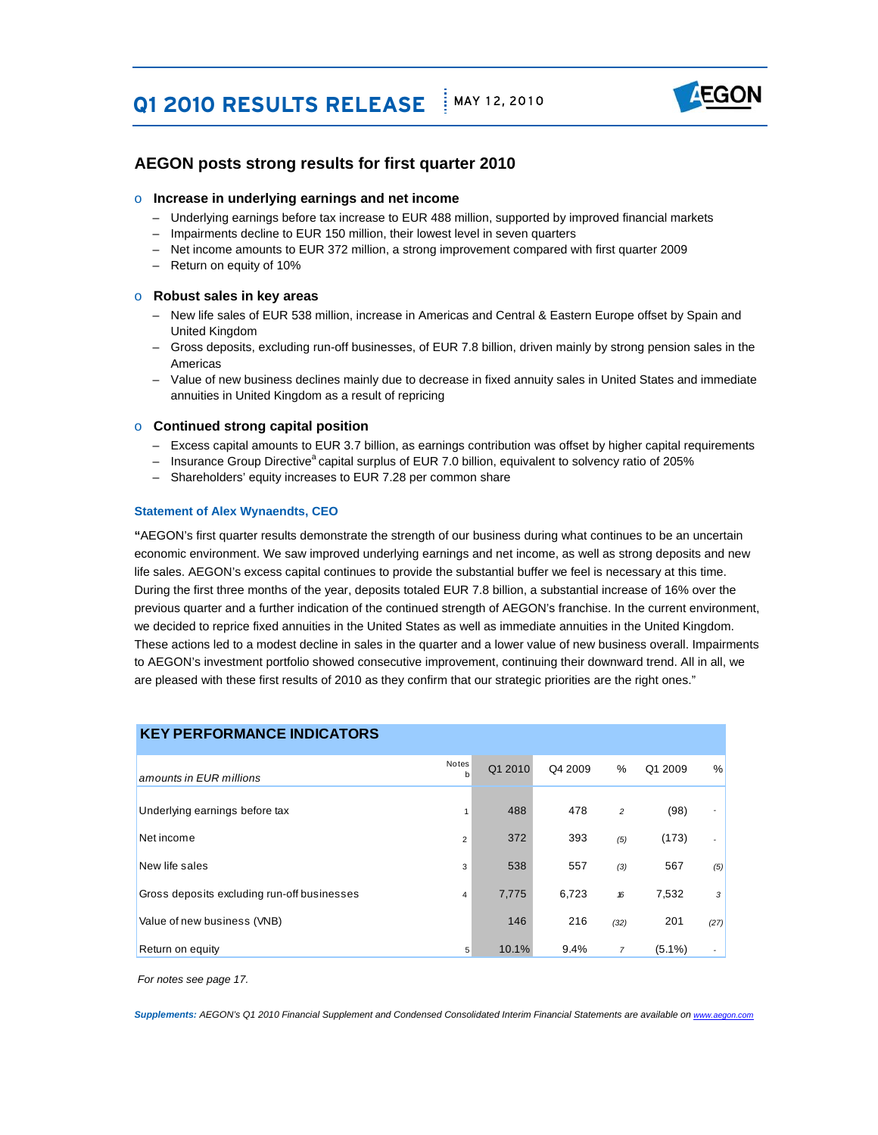# **Q1 2010 RESULTS RELEASE** MAY 12, 2010



### **AEGON posts strong results for first quarter 2010**

#### o **Increase in underlying earnings and net income**

- Underlying earnings before tax increase to EUR 488 million, supported by improved financial markets
- Impairments decline to EUR 150 million, their lowest level in seven quarters
- Net income amounts to EUR 372 million, a strong improvement compared with first quarter 2009
- Return on equity of 10%

#### o **Robust sales in key areas**

- New life sales of EUR 538 million, increase in Americas and Central & Eastern Europe offset by Spain and United Kingdom
- United Kingdom Gross deposits, excluding run-off businesses, of EUR 7.8 billion, driven mainly by strong pension sales in the Americas
- – Value of new business declines mainly due to decrease in fixed annuity sales in United States and immediate annuities in United Kingdom as a result of repricing

#### o **Continued strong capital position**

- Excess capital amounts to EUR 3.7 billion, as earnings contribution was offset by higher capital requirements
- Insurance Group Directive<sup>a</sup> capital surplus of EUR 7.0 billion, equivalent to solvency ratio of 205%
- Shareholders' equity increases to EUR 7.28 per common share

#### **Statement of Alex Wynaendts, CEO**

 **"**AEGON's first quarter results demonstrate the strength of our business during what continues to be an uncertain economic environment. We saw improved underlying earnings and net income, as well as strong deposits and new life sales. AEGON's excess capital continues to provide the substantial buffer we feel is necessary at this time. we decided to reprice fixed annuities in the United States as well as immediate annuities in the United Kingdom. These actions led to a modest decline in sales in the quarter and a lower value of new business overall. Impairments are pleased with these first results of 2010 as they confirm that our strategic priorities are the right ones." During the first three months of the year, deposits totaled EUR 7.8 billion, a substantial increase of 16% over the previous quarter and a further indication of the continued strength of AEGON's franchise. In the current environment, to AEGON's investment portfolio showed consecutive improvement, continuing their downward trend. All in all, we

| <b>KEY PERFORMANCE INDICATORS</b>           |                      |         |         |                |           |                |
|---------------------------------------------|----------------------|---------|---------|----------------|-----------|----------------|
| amounts in EUR millions                     | Notes<br>$\mathbf b$ | Q1 2010 | Q4 2009 | %              | Q1 2009   | %              |
| Underlying earnings before tax              |                      | 488     | 478     | $\overline{c}$ | (98)      |                |
| Net income                                  | $\overline{2}$       | 372     | 393     | (5)            | (173)     |                |
| New life sales                              | 3                    | 538     | 557     | (3)            | 567       | (5)            |
| Gross deposits excluding run-off businesses | 4                    | 7,775   | 6,723   | 16             | 7,532     | 3 <sup>1</sup> |
| Value of new business (VNB)                 |                      | 146     | 216     | (32)           | 201       | (27)           |
| Return on equity                            | 5                    | 10.1%   | 9.4%    | $\overline{7}$ | $(5.1\%)$ |                |

*For notes see page 17.*

**Supplements:** *AEGON's Q1 2010 Financial Supplement and Condensed Consolidated Interim Financial Statements are available on www.*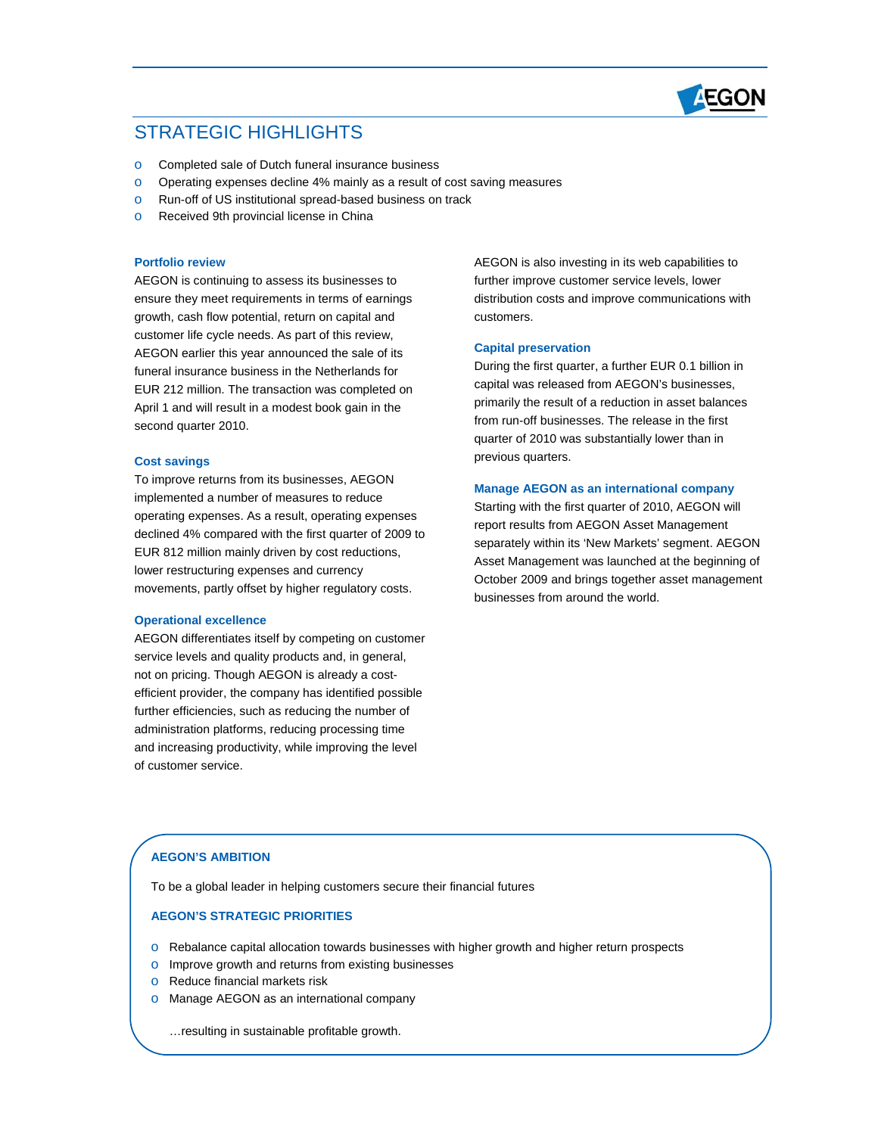

### STRATEGIC HIGHLIGHTS

- o Completed sale of Dutch funeral insurance business
- o Operating expenses decline 4% mainly as a result of cost saving measures
- o Run-off of US institutional spread-based business on track
- **o** Received 9th provincial license in China

#### **Portfolio review**

 growth, cash flow potential, return on capital and customer life cycle needs. As part of this review, AEGON earlier this year announced the sale of its EUR 212 million. The transaction was completed on April 1 and will result in a modest book gain in the second quarter 2010. AEGON is continuing to assess its businesses to ensure they meet requirements in terms of earnings funeral insurance business in the Netherlands for

#### **Cost savings**

 To improve returns from its businesses, AEGON implemented a number of measures to reduce operating expenses. As a result, operating expenses declined 4% compared with the first quarter of 2009 to movements, partly offset by higher regulatory costs. EUR 812 million mainly driven by cost reductions, lower restructuring expenses and currency

#### **Operational excellence**

 service levels and quality products and, in general, not on pricing. Though AEGON is already a cost- administration platforms, reducing processing time and increasing productivity, while improving the level AEGON differentiates itself by competing on customer efficient provider, the company has identified possible further efficiencies, such as reducing the number of of customer service.

 AEGON is also investing in its web capabilities to distribution costs and improve communications with further improve customer service levels, lower customers.

#### **Capital preservation**

 During the first quarter, a further EUR 0.1 billion in primarily the result of a reduction in asset balances quarter of 2010 was substantially lower than in capital was released from AEGON's businesses, from run-off businesses. The release in the first previous quarters.

#### **Manage AEGON as an international company**

 report results from AEGON Asset Management separately within its 'New Markets' segment. AEGON Asset Management was launched at the beginning of businesses from around the world. Starting with the first quarter of 2010, AEGON will October 2009 and brings together asset management

#### **AEGON'S AMBITION**

To be a global leader in helping customers secure their financial futures

#### **AEGON'S STRATEGIC PRIORITIES**

- o Rebalance capital allocation towards businesses with higher growth and higher return prospects
- o Improve growth and returns from existing businesses
- o Reduce financial markets risk
- o Manage AEGON as an international company

…resulting in sustainable profitable growth.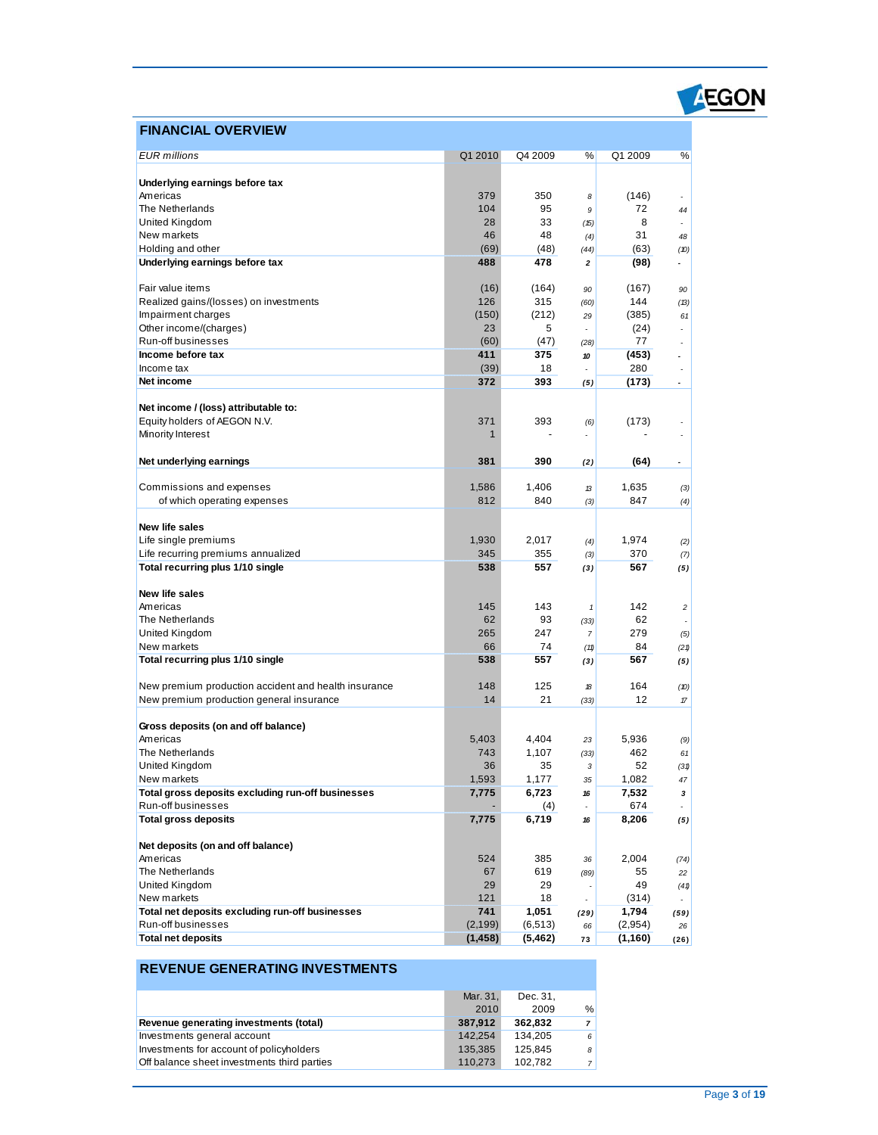### **FINANCIAL OVERVIEW**

| <b>EUR</b> millions                                                   | Q1 2010         | Q4 2009           | %                        | Q1 2009          | %                        |
|-----------------------------------------------------------------------|-----------------|-------------------|--------------------------|------------------|--------------------------|
|                                                                       |                 |                   |                          |                  |                          |
| Underlying earnings before tax                                        |                 |                   |                          |                  |                          |
| Americas<br>The Netherlands                                           | 379<br>104      | 350<br>95         | 8                        | (146)            |                          |
|                                                                       | 28              | 33                | 9                        | 72<br>8          | 44                       |
| United Kingdom<br>New markets                                         | 46              | 48                | (15)                     | 31               | $\overline{\phantom{a}}$ |
| Holding and other                                                     | (69)            | (48)              | (4)                      |                  | 48                       |
|                                                                       | 488             | 478               | (44)                     | (63)             | (10)<br>÷                |
| Underlying earnings before tax                                        |                 |                   | 2                        | (98)             |                          |
| Fair value items                                                      | (16)            | (164)             | 90                       | (167)            | 90                       |
| Realized gains/(losses) on investments                                | 126             | 315               | (60)                     | 144              | (13)                     |
| Impairment charges                                                    | (150)           | (212)             | 29                       | (385)            | 61                       |
| Other income/(charges)                                                | 23              | 5                 |                          | (24)             | ÷.                       |
| Run-off businesses                                                    | (60)            | (47)              | (28)                     | 77               | ٠                        |
| Income before tax                                                     | 411             | 375               | 10                       | (453)            | $\overline{a}$           |
| Income tax                                                            | (39)            | 18                | $\overline{\phantom{a}}$ | 280              |                          |
| Net income                                                            | 372             | 393               | (5)                      | (173)            | $\overline{\phantom{a}}$ |
| Net income / (loss) attributable to:                                  |                 |                   |                          |                  |                          |
| Equity holders of AEGON N.V.                                          | 371             | 393               | (6)                      | (173)            |                          |
| Minority Interest                                                     | $\mathbf 1$     |                   | ÷.                       |                  | ä,                       |
|                                                                       |                 |                   |                          |                  |                          |
| Net underlying earnings                                               | 381             | 390               | (2)                      | (64)             | $\overline{\phantom{a}}$ |
|                                                                       |                 |                   |                          |                  |                          |
| Commissions and expenses                                              | 1,586           | 1,406             | 13                       | 1,635            | (3)                      |
| of which operating expenses                                           | 812             | 840               | (3)                      | 847              | (4)                      |
| New life sales                                                        |                 |                   |                          |                  |                          |
| Life single premiums                                                  | 1,930           | 2,017             | (4)                      | 1,974            | (2)                      |
| Life recurring premiums annualized                                    | 345             | 355               | (3)                      | 370              | (7)                      |
| Total recurring plus 1/10 single                                      | 538             | 557               | (3)                      | 567              | (5)                      |
|                                                                       |                 |                   |                          |                  |                          |
| New life sales                                                        |                 |                   |                          |                  |                          |
| Americas                                                              | 145<br>62       | 143               | 1                        | 142              | $\overline{c}$           |
| The Netherlands<br>United Kingdom                                     | 265             | 93<br>247         | (33)<br>$\overline{7}$   | 62<br>279        |                          |
| New markets                                                           | 66              | 74                |                          | 84               | (5)                      |
| Total recurring plus 1/10 single                                      | 538             | 557               | (11)<br>(3)              | 567              | (21)<br>(5)              |
|                                                                       |                 |                   |                          |                  |                          |
| New premium production accident and health insurance                  | 148             | 125               | 18                       | 164              | (10)                     |
| New premium production general insurance                              | 14              | 21                | (33)                     | 12               | 17                       |
|                                                                       |                 |                   |                          |                  |                          |
| Gross deposits (on and off balance)                                   |                 |                   |                          |                  |                          |
| Americas<br>The Netherlands                                           | 5,403           | 4,404             | 23                       | 5,936            | (9)                      |
| United Kingdom                                                        | 743             | 1,107<br>35       | (33)                     | 462<br>52        | 61                       |
| New markets                                                           | 36<br>1,593     | 1,177             | 3<br>35                  | 1,082            | (31)                     |
| Total gross deposits excluding run-off businesses                     | 7,775           | 6,723             |                          | 7,532            | 47                       |
| Run-off businesses                                                    |                 | (4)               | 16<br>٠                  | 674              | 3<br>÷.                  |
| <b>Total gross deposits</b>                                           | 7,775           | 6,719             | 16                       | 8,206            | (5)                      |
|                                                                       |                 |                   |                          |                  |                          |
| Net deposits (on and off balance)                                     |                 |                   |                          |                  |                          |
| Americas                                                              | 524             | 385               | 36                       | 2,004            | (74)                     |
| The Netherlands                                                       | 67              | 619               | (89)                     | 55               | 22                       |
| United Kingdom                                                        | 29              | 29                |                          | 49               | (41)                     |
| New markets                                                           | 121             | 18                | ä,                       | (314)            | ÷.                       |
| Total net deposits excluding run-off businesses<br>Run-off businesses | 741<br>(2, 199) | 1,051<br>(6, 513) | (29)<br>66               | 1,794<br>(2,954) | (59)<br>26               |
| <b>Total net deposits</b>                                             | (1, 458)        | (5, 462)          | 73                       | (1, 160)         | (26)                     |
|                                                                       |                 |                   |                          |                  |                          |

### **REVENUE GENERATING INVESTMENTS**

|                                             | Mar. 31. | Dec. 31. |   |
|---------------------------------------------|----------|----------|---|
|                                             | 2010     | 2009     | % |
| Revenue generating investments (total)      | 387,912  | 362.832  |   |
| Investments general account                 | 142.254  | 134.205  | 6 |
| Investments for account of policyholders    | 135.385  | 125.845  | 8 |
| Off balance sheet investments third parties | 110,273  | 102.782  |   |

EGON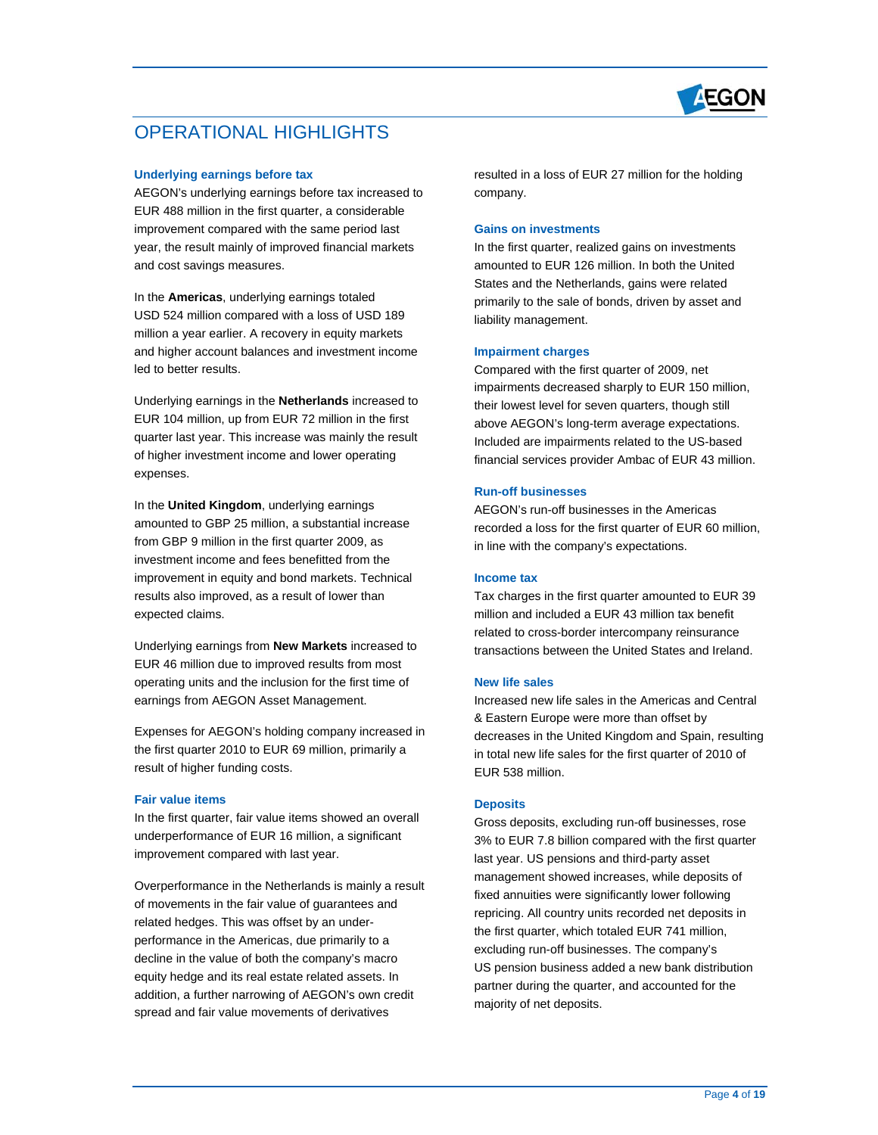

### OPERATIONAL HIGHLIGHTS

#### **Underlying earnings before tax**

 improvement compared with the same period last AEGON's underlying earnings before tax increased to EUR 488 million in the first quarter, a considerable year, the result mainly of improved financial markets and cost savings measures.

 USD 524 million compared with a loss of USD 189 million a year earlier. A recovery in equity markets and higher account balances and investment income In the **Americas**, underlying earnings totaled led to better results.

 quarter last year. This increase was mainly the result Underlying earnings in the **Netherlands** increased to EUR 104 million, up from EUR 72 million in the first of higher investment income and lower operating expenses.

 In the **United Kingdom**, underlying earnings amounted to GBP 25 million, a substantial increase from GBP 9 million in the first quarter 2009, as improvement in equity and bond markets. Technical results also improved, as a result of lower than investment income and fees benefitted from the expected claims.

 EUR 46 million due to improved results from most Underlying earnings from **New Markets** increased to operating units and the inclusion for the first time of earnings from AEGON Asset Management.

 the first quarter 2010 to EUR 69 million, primarily a Expenses for AEGON's holding company increased in result of higher funding costs.

#### **Fair value items**

 In the first quarter, fair value items showed an overall underperformance of EUR 16 million, a significant improvement compared with last year.

 related hedges. This was offset by an under- performance in the Americas, due primarily to a equity hedge and its real estate related assets. In addition, a further narrowing of AEGON's own credit spread and fair value movements of derivatives Overperformance in the Netherlands is mainly a result of movements in the fair value of guarantees and decline in the value of both the company's macro

 resulted in a loss of EUR 27 million for the holding company.

#### **Gains on investments**

 amounted to EUR 126 million. In both the United States and the Netherlands, gains were related States and the Netherlands, gains were related<br>primarily to the sale of bonds, driven by asset and In the first quarter, realized gains on investments liability management.

#### **Impairment charges**

 Compared with the first quarter of 2009, net impairments decreased sharply to EUR 150 million, their lowest level for seven quarters, though still above AEGON's long-term average expectations. Included are impairments related to the US-based financial services provider Ambac of EUR 43 million.

#### **Run-off businesses**

 AEGON's run-off businesses in the Americas recorded a loss for the first quarter of EUR 60 million, in line with the company's expectations.

#### **Income tax**

 Tax charges in the first quarter amounted to EUR 39 million and included a EUR 43 million tax benefit transactions between the United States and Ireland. related to cross-border intercompany reinsurance

#### **New life sales**

 & Eastern Europe were more than offset by decreases in the United Kingdom and Spain, resulting in total new life sales for the first quarter of 2010 of Increased new life sales in the Americas and Central EUR 538 million.

#### **Deposits**

 3% to EUR 7.8 billion compared with the first quarter last year. US pensions and third-party asset repricing. All country units recorded net deposits in the first quarter, which totaled EUR 741 million, US pension business added a new bank distribution Gross deposits, excluding run-off businesses, rose management showed increases, while deposits of fixed annuities were significantly lower following excluding run-off businesses. The company's partner during the quarter, and accounted for the majority of net deposits.<br>
Page 4 of 19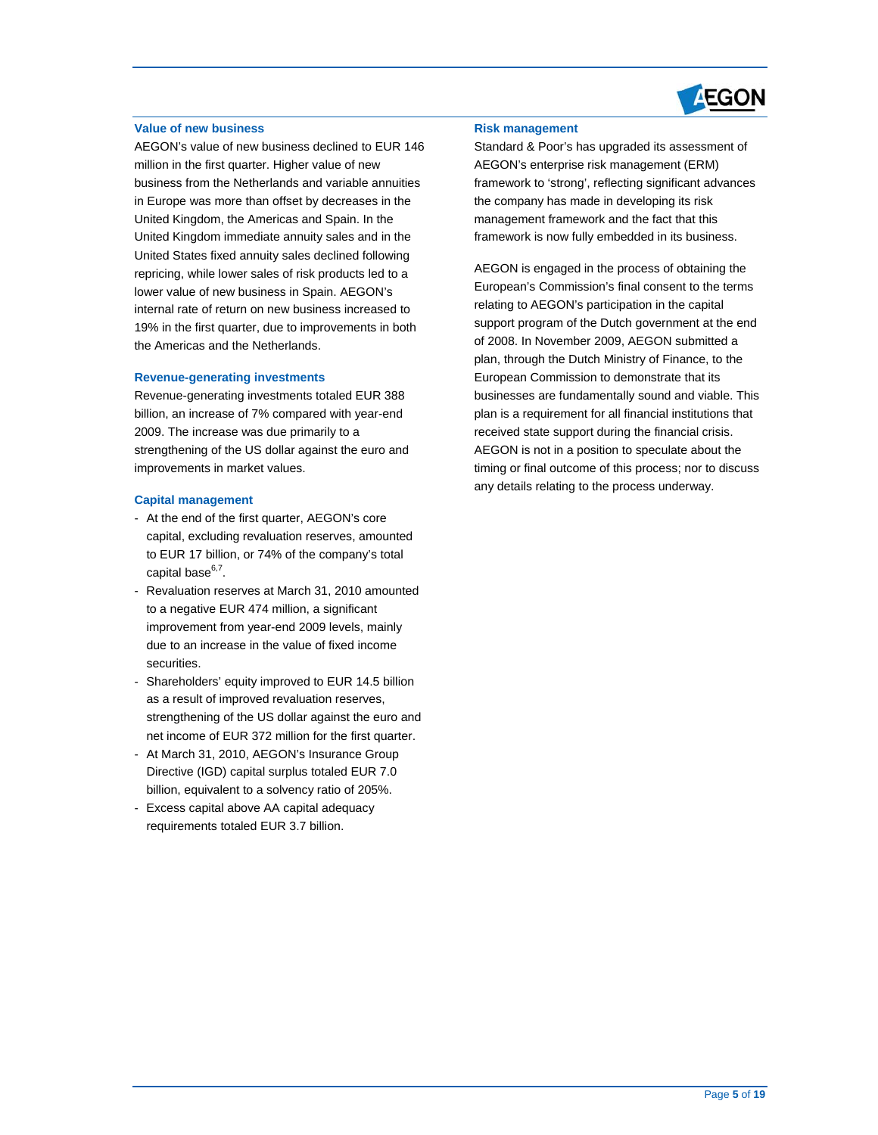

#### **Value of new business**

 in Europe was more than offset by decreases in the repricing, while lower sales of risk products led to a lower value of new business in Spain. AEGON's internal rate of return on new business increased to AEGON's value of new business declined to EUR 146 million in the first quarter. Higher value of new business from the Netherlands and variable annuities United Kingdom, the Americas and Spain. In the United Kingdom immediate annuity sales and in the United States fixed annuity sales declined following 19% in the first quarter, due to improvements in both the Americas and the Netherlands.

#### **Revenue-generating investments**

 billion, an increase of 7% compared with year-end strengthening of the US dollar against the euro and Revenue-generating investments totaled EUR 388 2009. The increase was due primarily to a improvements in market values.

#### **Capital management**

- - At the end of the first quarter, AEGON's core capital, excluding revaluation reserves, amounted to EUR 17 billion, or 74% of the company's total capital base $6,7$ .
- improvement from year-end 2009 levels, mainly Revaluation reserves at March 31, 2010 amounted to a negative EUR 474 million, a significant due to an increase in the value of fixed income securities.
- - Shareholders' equity improved to EUR 14.5 billion net income of EUR 372 million for the first quarter. as a result of improved revaluation reserves, strengthening of the US dollar against the euro and
- At March 31, 2010, AEGON's Insurance Group Directive (IGD) capital surplus totaled EUR 7.0 billion, equivalent to a solvency ratio of 205%.
- Excess capital above AA capital adequacy requirements totaled EUR 3.7 billion.

#### **Risk management**

 Standard & Poor's has upgraded its assessment of management framework and the fact that this framework is now fully embedded in its business. AEGON's enterprise risk management (ERM) framework to 'strong', reflecting significant advances the company has made in developing its risk

 relating to AEGON's participation in the capital plan, through the Dutch Ministry of Finance, to the AEGON is not in a position to speculate about the timing or final outcome of this process; nor to discuss AEGON is engaged in the process of obtaining the European's Commission's final consent to the terms support program of the Dutch government at the end of 2008. In November 2009, AEGON submitted a European Commission to demonstrate that its businesses are fundamentally sound and viable. This plan is a requirement for all financial institutions that received state support during the financial crisis. any details relating to the process underway.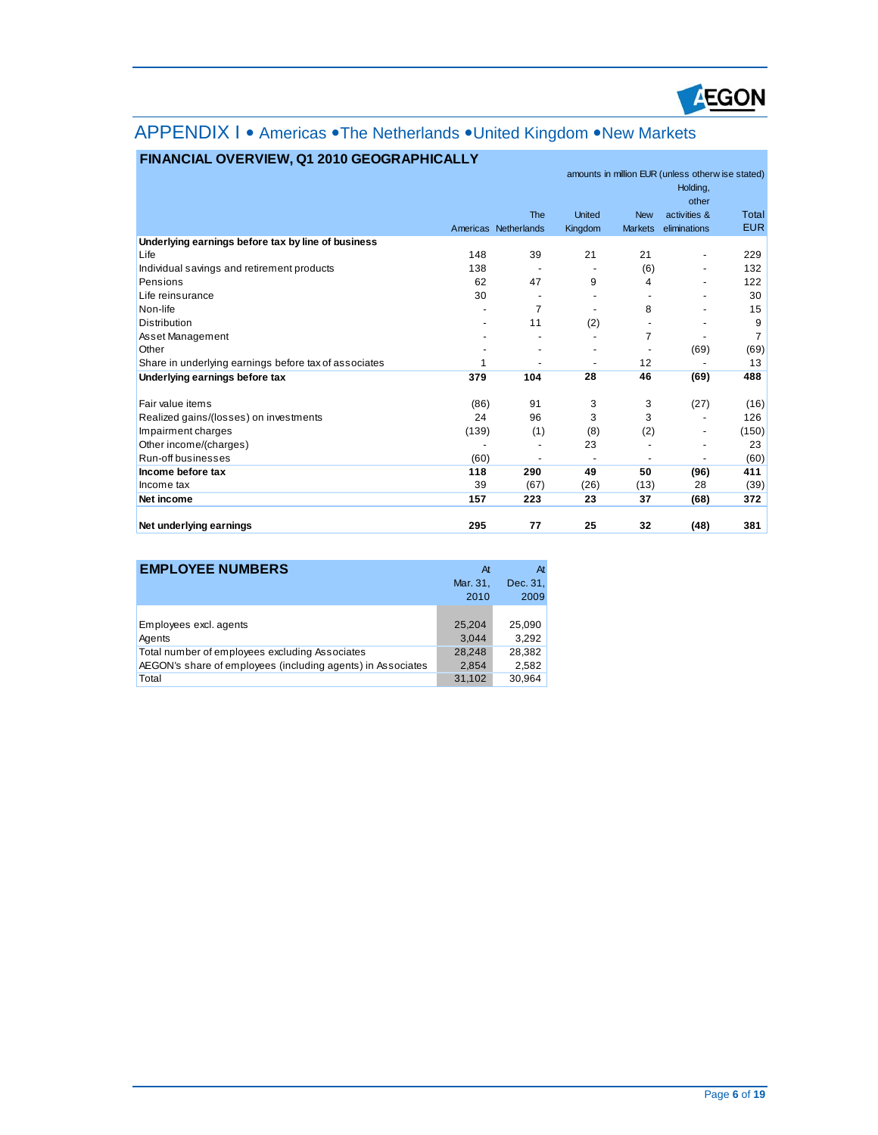

## APPENDIX I • Americas • The Netherlands • United Kingdom • New Markets

|                                                       |                |                          | amounts in million EUR (unless otherw ise stated)<br>Holding, |                          |                          |            |
|-------------------------------------------------------|----------------|--------------------------|---------------------------------------------------------------|--------------------------|--------------------------|------------|
|                                                       |                |                          |                                                               |                          | other                    |            |
|                                                       |                | The                      | <b>United</b>                                                 | <b>New</b>               | activities &             | Total      |
|                                                       |                | Americas Netherlands     | Kingdom                                                       | <b>Markets</b>           | eliminations             | <b>EUR</b> |
| Underlying earnings before tax by line of business    |                |                          |                                                               |                          |                          |            |
| Life                                                  | 148            | 39                       | 21                                                            | 21                       | $\overline{\phantom{m}}$ | 229        |
| Individual savings and retirement products            | 138            |                          |                                                               | (6)                      |                          | 132        |
| Pensions                                              | 62             | 47                       | 9                                                             | 4                        |                          | 122        |
| Life reinsurance                                      | 30             |                          | -                                                             |                          |                          | 30         |
| Non-life                                              |                | 7                        | ٠                                                             | 8                        |                          | 15         |
| <b>Distribution</b>                                   | $\blacksquare$ | 11                       | (2)                                                           |                          |                          | 9          |
| Asset Management                                      |                |                          | $\blacksquare$                                                | 7                        |                          | 7          |
| Other                                                 |                | ٠                        | -                                                             | ٠                        | (69)                     | (69)       |
| Share in underlying earnings before tax of associates | 1              | ٠                        | ٠                                                             | 12                       |                          | 13         |
| Underlying earnings before tax                        | 379            | 104                      | 28                                                            | 46                       | (69)                     | 488        |
| Fair value items                                      | (86)           | 91                       | 3                                                             | 3                        | (27)                     | (16)       |
| Realized gains/(losses) on investments                | 24             | 96                       | 3                                                             | 3                        | ٠                        | 126        |
| Impairment charges                                    | (139)          | (1)                      | (8)                                                           | (2)                      |                          | (150)      |
| Other income/(charges)                                |                | $\overline{\phantom{a}}$ | 23                                                            |                          |                          | 23         |
| Run-off businesses                                    | (60)           |                          | $\blacksquare$                                                | $\overline{\phantom{a}}$ | ٠                        | (60)       |
| Income before tax                                     | 118            | 290                      | 49                                                            | 50                       | (96)                     | 411        |
| Income tax                                            | 39             | (67)                     | (26)                                                          | (13)                     | 28                       | (39)       |
| Net income                                            | 157            | 223                      | 23                                                            | 37                       | (68)                     | 372        |
| Net underlying earnings                               | 295            | 77                       | 25                                                            | 32                       | (48)                     | 381        |

### **FINANCIAL OVERVIEW, Q1 2010 GEOGRAPHICALLY**

| <b>EMPLOYEE NUMBERS</b>                                     | At       | At       |
|-------------------------------------------------------------|----------|----------|
|                                                             | Mar. 31, | Dec. 31, |
|                                                             | 2010     | 2009     |
|                                                             |          |          |
| Employees excl. agents                                      | 25.204   | 25,090   |
| Agents                                                      | 3.044    | 3.292    |
| Total number of employees excluding Associates              | 28.248   | 28,382   |
| AEGON's share of employees (including agents) in Associates | 2,854    | 2,582    |
| Total                                                       | 31,102   | 30,964   |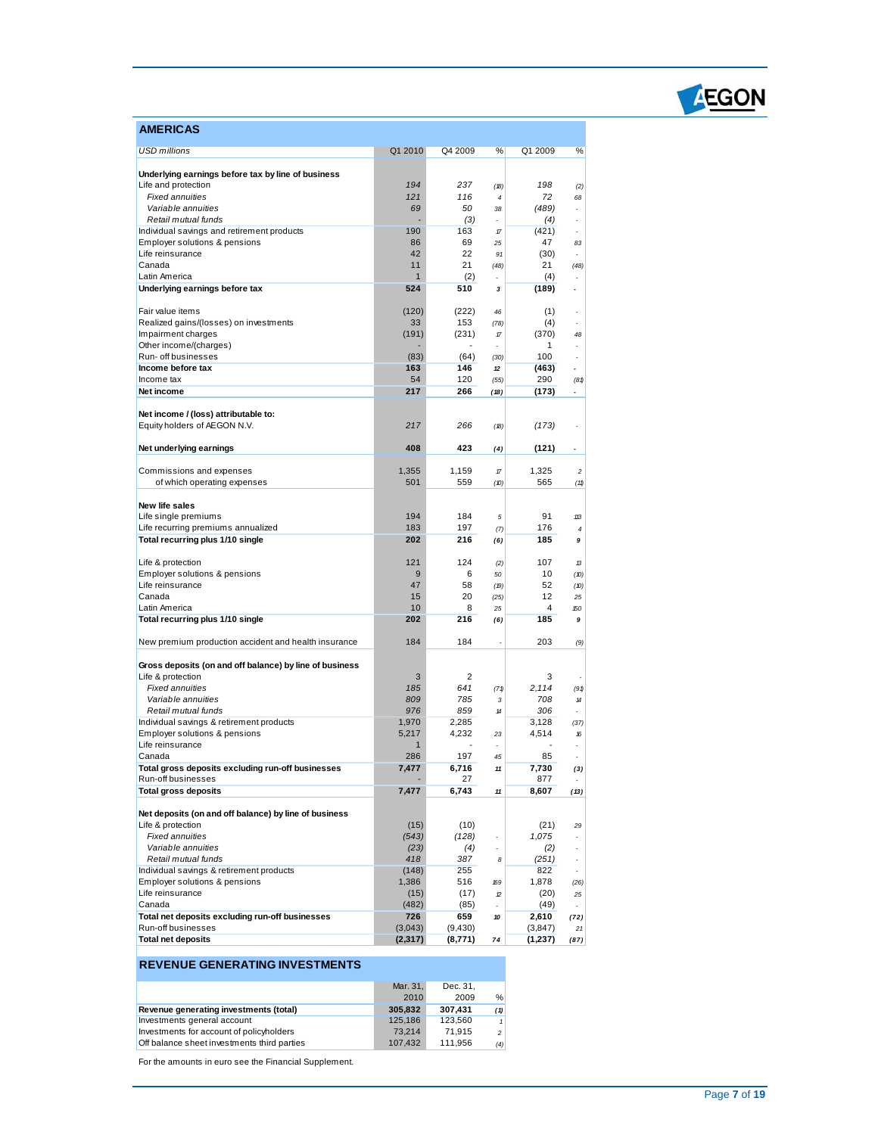

| AMERICAS                                                                     |              |           |            |           |                          |
|------------------------------------------------------------------------------|--------------|-----------|------------|-----------|--------------------------|
| <b>USD millions</b>                                                          | Q1 2010      | Q4 2009   | %          | Q1 2009   | %                        |
|                                                                              |              |           |            |           |                          |
| Underlying earnings before tax by line of business                           |              |           |            |           |                          |
| Life and protection<br><b>Fixed annuities</b>                                | 194          | 237       | (18)       | 198<br>72 | (2)                      |
| Variable annuities                                                           | 121<br>69    | 116<br>50 | 4<br>38    | (489)     | 68<br>ä,                 |
| Retail mutual funds                                                          |              | (3)       | ÷,         | (4)       |                          |
| Individual savings and retirement products                                   | 190          | 163       | $\pi$      | (421)     | $\overline{\phantom{a}}$ |
| Employer solutions & pensions                                                | 86           | 69        | 25         | 47        | 83                       |
| Life reinsurance                                                             | 42           | 22        | 91         | (30)      | ٠                        |
| Canada                                                                       | 11           | 21        | (48)       | 21        | (48)                     |
| Latin America                                                                | 1            | (2)       |            | (4)       |                          |
| Underlying earnings before tax                                               | 524          | 510       | 3          | (189)     | ٠                        |
| Fair value items                                                             | (120)        | (222)     |            | (1)       |                          |
| Realized gains/(losses) on investments                                       | 33           | 153       | 46<br>(78) | (4)       | ä,                       |
| Impairment charges                                                           | (191)        | (231)     | 17         | (370)     | 48                       |
| Other income/(charges)                                                       |              |           |            | 1         |                          |
| Run- off businesses                                                          | (83)         | (64)      | (30)       | 100       | ä,                       |
| Income before tax                                                            | 163          | 146       | 12         | (463)     |                          |
| Income tax                                                                   | 54           | 120       | (55)       | 290       | (81)                     |
| Net income                                                                   | 217          | 266       | (18)       | (173)     | ٠                        |
|                                                                              |              |           |            |           |                          |
| Net income / (loss) attributable to:                                         |              |           |            |           |                          |
| Equity holders of AEGON N.V.                                                 | 217          | 266       | (18)       | (173)     |                          |
| Net underlying earnings                                                      | 408          | 423       | (4)        | (121)     | ÷,                       |
|                                                                              |              |           |            |           |                          |
| Commissions and expenses                                                     | 1,355        | 1,159     | 17         | 1,325     | $\overline{\mathbf{c}}$  |
| of which operating expenses                                                  | 501          | 559       | (10)       | 565       | (11)                     |
|                                                                              |              |           |            |           |                          |
| New life sales                                                               | 194          | 184       | 5          | 91        | 113                      |
| Life single premiums<br>Life recurring premiums annualized                   | 183          | 197       | (7)        | 176       | 4                        |
| Total recurring plus 1/10 single                                             | 202          | 216       | (6)        | 185       | 9                        |
|                                                                              |              |           |            |           |                          |
| Life & protection                                                            | 121          | 124       | (2)        | 107       | 13                       |
| Employer solutions & pensions                                                | 9            | 6         | 50         | 10        | (10)                     |
| Life reinsurance                                                             | 47           | 58        | (19)       | 52        | (10)                     |
| Canada                                                                       | 15           | 20        | (25)       | 12        | 25                       |
| Latin America                                                                | 10           | 8         | 25         | 4         | 150                      |
| Total recurring plus 1/10 single                                             | 202          | 216       | (6)        | 185       | 9                        |
| New premium production accident and health insurance                         | 184          | 184       |            | 203       | (9)                      |
|                                                                              |              |           |            |           |                          |
| Gross deposits (on and off balance) by line of business<br>Life & protection | 3            | 2         |            | 3         |                          |
| <b>Fixed annuities</b>                                                       | 185          | 641       | (71)       | 2,114     | (91)                     |
| Variable annuities                                                           | 809          | 785       | 3          | 708       | 14                       |
| Retail mutual funds                                                          | 976          | 859       | $14$       | 306       |                          |
| Individual savings & retirement products                                     | 1,970        | 2,285     |            | 3,128     | (37)                     |
| Employer solutions & pensions                                                | 5,217        | 4,232     | 23         | 4,514     | 16                       |
| Life reinsurance                                                             | $\mathbf{1}$ |           |            |           |                          |
| Canada                                                                       | 286          | 197       | 45         | 85        | ä,                       |
| Total gross deposits excluding run-off businesses                            | 7,477        | 6,716     | 11         | 7,730     | (3)                      |
| Run-off businesses                                                           |              | 27        |            | 877       |                          |
| <b>Total gross deposits</b>                                                  | 7,477        | 6,743     | 11         | 8,607     | (13)                     |
| Net deposits (on and off balance) by line of business                        |              |           |            |           |                          |
| Life & protection                                                            | (15)         | (10)      |            | (21)      | 29                       |
| <b>Fixed annuities</b>                                                       | (543)        | (128)     |            | 1,075     |                          |
| Variable annuities                                                           | (23)         | (4)       |            | (2)       |                          |
| Retail mutual funds                                                          | 418          | 387       | 8          | (251)     | $\overline{\phantom{a}}$ |
| Individual savings & retirement products                                     | (148)        | 255       |            | 822       |                          |
| Employer solutions & pensions                                                | 1,386        | 516       | 169        | 1,878     | (26)                     |
| Life reinsurance                                                             | (15)         | (17)      | 12         | (20)      | 25                       |
| Canada                                                                       | (482)        | (85)      |            | (49)      |                          |
| Total net deposits excluding run-off businesses                              | 726          | 659       | 10         | 2,610     | (72)                     |
| Run-off businesses                                                           | (3,043)      | (9,430)   |            | (3, 847)  | 21                       |
| <b>Total net deposits</b>                                                    | (2, 317)     | (8,771)   | 74         | (1,237)   | (87)                     |

### **REVENUE GENERATING INVESTMENTS**

|                                             | Mar. 31. | Dec. 31. |                |
|---------------------------------------------|----------|----------|----------------|
|                                             | 2010     | 2009     | %              |
| Revenue generating investments (total)      | 305.832  | 307.431  | (1)            |
| Investments general account                 | 125.186  | 123.560  |                |
| Investments for account of policyholders    | 73.214   | 71.915   | 2 <sup>1</sup> |
| Off balance sheet investments third parties | 107.432  | 111.956  | (4)            |

For the amounts in euro see the Financial Supplement.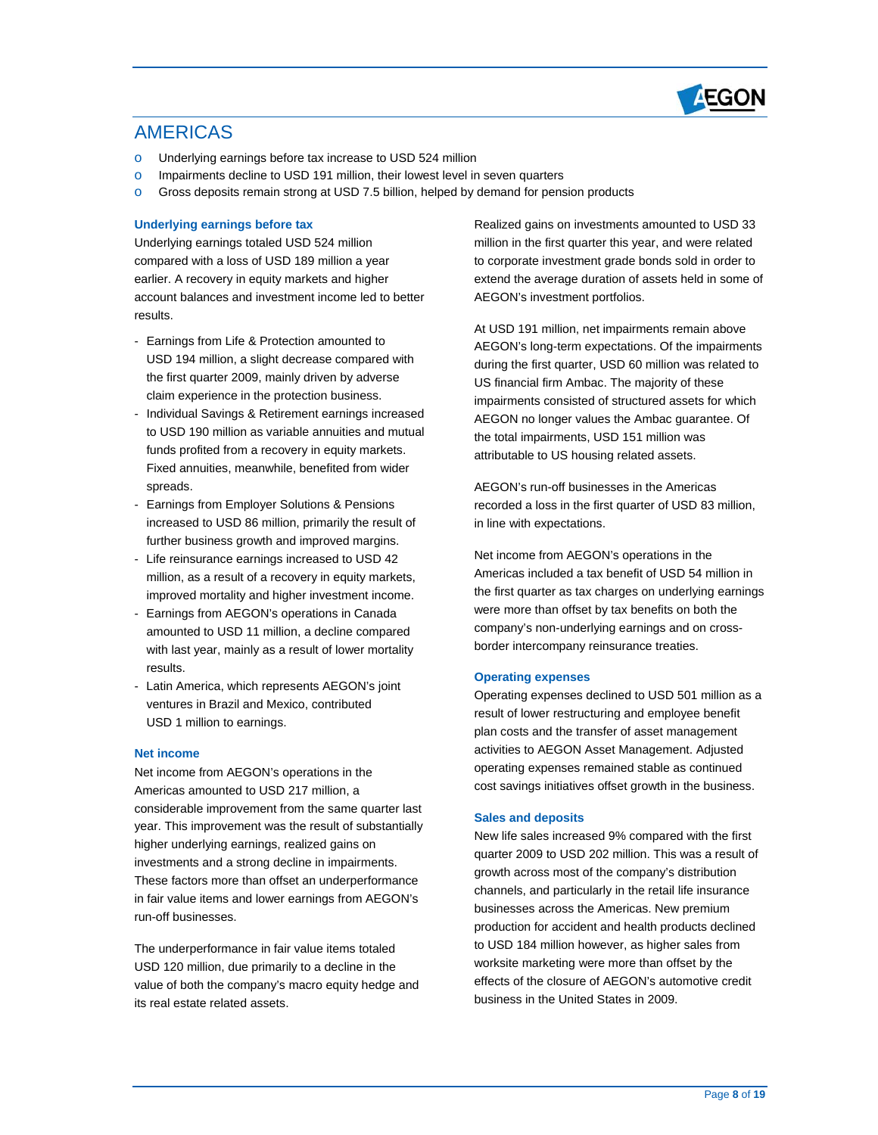

### AMERICAS

- o Underlying earnings before tax increase to USD 524 million
- o Impairments decline to USD 191 million, their lowest level in seven quarters
- o Gross deposits remain strong at USD 7.5 billion, helped by demand for pension products

#### **Underlying earnings before tax**

 compared with a loss of USD 189 million a year earlier. A recovery in equity markets and higher account balances and investment income led to better Underlying earnings totaled USD 524 million results.

- - Earnings from Life & Protection amounted to USD 194 million, a slight decrease compared with the first quarter 2009, mainly driven by adverse claim experience in the protection business.
- to USD 190 million as variable annuities and mutual Fixed annuities, meanwhile, benefited from wider - Individual Savings & Retirement earnings increased funds profited from a recovery in equity markets. spreads.
- increased to USD 86 million, primarily the result of - Earnings from Employer Solutions & Pensions further business growth and improved margins.
- - Life reinsurance earnings increased to USD 42 million, as a result of a recovery in equity markets, improved mortality and higher investment income.
- amounted to USD 11 million, a decline compared - Earnings from AEGON's operations in Canada with last year, mainly as a result of lower mortality results.
- USD 1 million to earnings. - Latin America, which represents AEGON's joint ventures in Brazil and Mexico, contributed

#### **Net income**

 year. This improvement was the result of substantially higher underlying earnings, realized gains on investments and a strong decline in impairments. These factors more than offset an underperformance Net income from AEGON's operations in the Americas amounted to USD 217 million, a considerable improvement from the same quarter last in fair value items and lower earnings from AEGON's run-off businesses.

The underperformance in fair value items totaled The underperformance in fair value items totaled<br>USD 120 million, due primarily to a decline in the value of both the company's macro equity hedge and its real estate related assets.

 to corporate investment grade bonds sold in order to extend the average duration of assets held in some of Realized gains on investments amounted to USD 33 million in the first quarter this year, and were related AEGON's investment portfolios.

 the total impairments, USD 151 million was At USD 191 million, net impairments remain above AEGON's long-term expectations. Of the impairments during the first quarter, USD 60 million was related to US financial firm Ambac. The majority of these impairments consisted of structured assets for which AEGON no longer values the Ambac guarantee. Of attributable to US housing related assets.

 AEGON's run-off businesses in the Americas recorded a loss in the first quarter of USD 83 million, in line with expectations.

 Net income from AEGON's operations in the the first quarter as tax charges on underlying earnings Americas included a tax benefit of USD 54 million in were more than offset by tax benefits on both the company's non-underlying earnings and on crossborder intercompany reinsurance treaties.

#### **Operating expenses**

 plan costs and the transfer of asset management operating expenses remained stable as continued cost savings initiatives offset growth in the business. Operating expenses declined to USD 501 million as a result of lower restructuring and employee benefit activities to AEGON Asset Management. Adjusted

#### **Sales and deposits**

 New life sales increased 9% compared with the first quarter 2009 to USD 202 million. This was a result of growth across most of the company's distribution channels, and particularly in the retail life insurance businesses across the Americas. New premium production for accident and health products declined worksite marketing were more than offset by the effects of the closure of AEGON's automotive credit business in the United States in 2009. to USD 184 million however, as higher sales from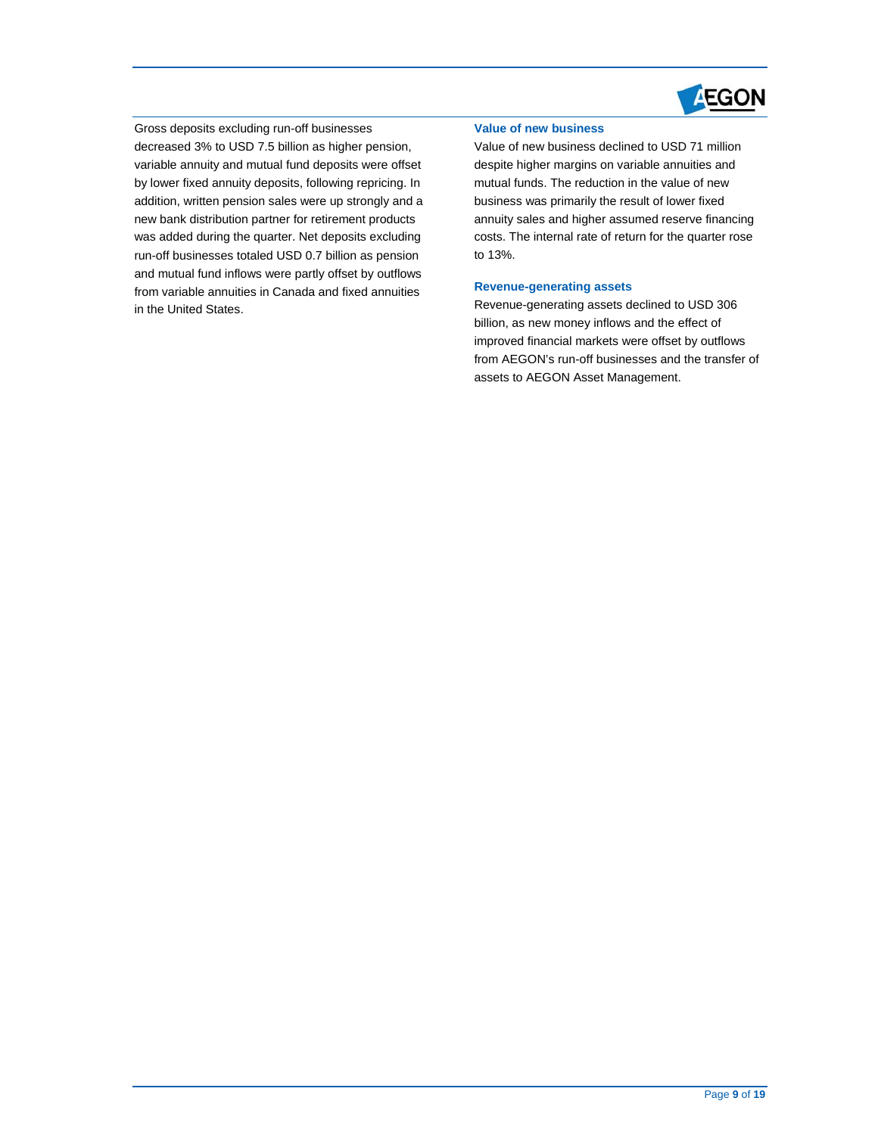

 variable annuity and mutual fund deposits were offset and mutual fund inflows were partly offset by outflows Gross deposits excluding run-off businesses decreased 3% to USD 7.5 billion as higher pension, by lower fixed annuity deposits, following repricing. In addition, written pension sales were up strongly and a new bank distribution partner for retirement products was added during the quarter. Net deposits excluding run-off businesses totaled USD 0.7 billion as pension from variable annuities in Canada and fixed annuities in the United States.

#### **Value of new business**

 mutual funds. The reduction in the value of new business was primarily the result of lower fixed Value of new business declined to USD 71 million despite higher margins on variable annuities and annuity sales and higher assumed reserve financing costs. The internal rate of return for the quarter rose to 13%.

#### **Revenue-generating assets**

 billion, as new money inflows and the effect of Revenue-generating assets declined to USD 306 improved financial markets were offset by outflows from AEGON's run-off businesses and the transfer of assets to AEGON Asset Management.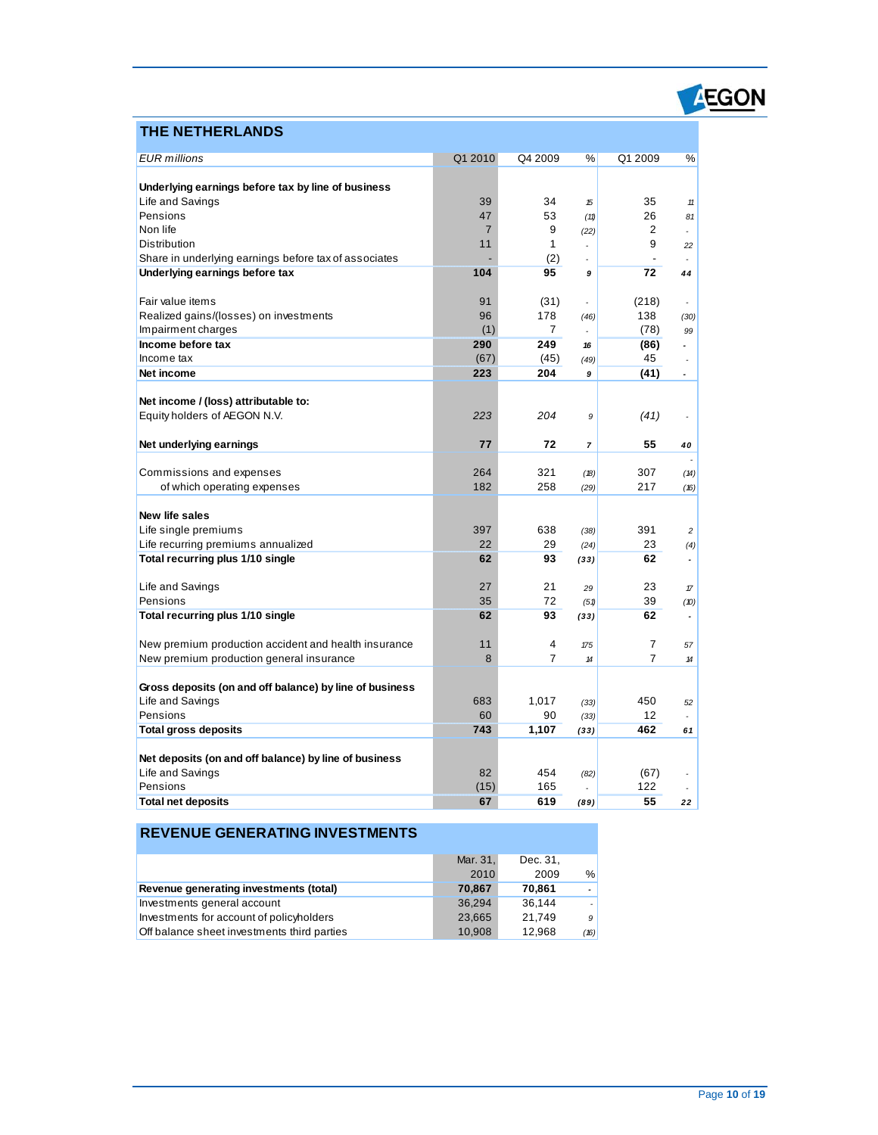### **THE NETHERLANDS**

| <b>EUR</b> millions                                     | Q1 2010        | Q4 2009        | %                          | Q1 2009 | %                        |
|---------------------------------------------------------|----------------|----------------|----------------------------|---------|--------------------------|
|                                                         |                |                |                            |         |                          |
| Underlying earnings before tax by line of business      |                |                |                            |         |                          |
| Life and Savings                                        | 39             | 34             | 15                         | 35      | 11                       |
| Pensions                                                | 47             | 53             | (11)                       | 26      | 81                       |
| Non life                                                | $\overline{7}$ | 9              | (22)                       | 2       | ä,                       |
| Distribution                                            | 11             | 1              |                            | 9       | 22                       |
| Share in underlying earnings before tax of associates   |                | (2)            |                            |         | ÷                        |
| Underlying earnings before tax                          | 104            | 95             | 9                          | 72      | 44                       |
| Fair value items                                        | 91             | (31)           | ä,                         | (218)   | ٠                        |
| Realized gains/(losses) on investments                  | 96             | 178            | (46)                       | 138     | (30)                     |
| Impairment charges                                      | (1)            | 7              |                            | (78)    | 99                       |
| Income before tax                                       | 290            | 249            | 16                         | (86)    | $\overline{a}$           |
| Income tax                                              | (67)           | (45)           | (49)                       | 45      | ä,                       |
| Net income                                              | 223            | 204            | 9                          | (41)    | $\overline{\phantom{a}}$ |
|                                                         |                |                |                            |         |                          |
| Net income / (loss) attributable to:                    |                |                |                            |         |                          |
| Equity holders of AEGON N.V.                            | 223            | 204            | 9                          | (41)    | ÷,                       |
|                                                         |                |                |                            |         |                          |
| Net underlying earnings                                 | 77             | 72             | $\overline{7}$             | 55      | 40                       |
| Commissions and expenses                                | 264            | 321            | (18)                       | 307     | (14)                     |
| of which operating expenses                             | 182            | 258            | (29)                       | 217     | (16)                     |
|                                                         |                |                |                            |         |                          |
| New life sales                                          |                |                |                            |         |                          |
| Life single premiums                                    | 397            | 638            | (38)                       | 391     | $\overline{c}$           |
| Life recurring premiums annualized                      | 22             | 29             | (24)                       | 23      | (4)                      |
| Total recurring plus 1/10 single                        | 62             | 93             | (33)                       | 62      | $\tilde{\phantom{a}}$    |
|                                                         |                |                |                            |         |                          |
| Life and Savings                                        | 27             | 21             | 29                         | 23      | $\pi$                    |
| Pensions                                                | 35             | 72             | (51)                       | 39      | (D)                      |
| Total recurring plus 1/10 single                        | 62             | 93             | (33)                       | 62      | $\overline{a}$           |
| New premium production accident and health insurance    | 11             | 4              | 175                        | 7       | 57                       |
| New premium production general insurance                | 8              | $\overline{7}$ | $\boldsymbol{\mathcal{H}}$ | 7       | 14                       |
|                                                         |                |                |                            |         |                          |
| Gross deposits (on and off balance) by line of business |                |                |                            |         |                          |
| Life and Savings                                        | 683            | 1,017          | (33)                       | 450     | 52                       |
| Pensions                                                | 60             | 90             | (33)                       | 12      |                          |
| <b>Total gross deposits</b>                             | 743            | 1,107          | (33)                       | 462     | 61                       |
|                                                         |                |                |                            |         |                          |
| Net deposits (on and off balance) by line of business   |                |                |                            |         |                          |
| Life and Savings                                        | 82             | 454            | (82)                       | (67)    | ÷,                       |
| Pensions                                                | (15)           | 165            |                            | 122     |                          |
| <b>Total net deposits</b>                               | 67             | 619            | (89)                       | 55      | 22                       |

### **REVENUE GENERATING INVESTMENTS**

|                                             | Mar. 31, | Dec. 31. |      |
|---------------------------------------------|----------|----------|------|
|                                             | 2010     | 2009     | %    |
| Revenue generating investments (total)      | 70.867   | 70.861   |      |
| Investments general account                 | 36.294   | 36.144   |      |
| Investments for account of policyholders    | 23,665   | 21.749   | 9    |
| Off balance sheet investments third parties | 10,908   | 12.968   | (16) |

**AEGON**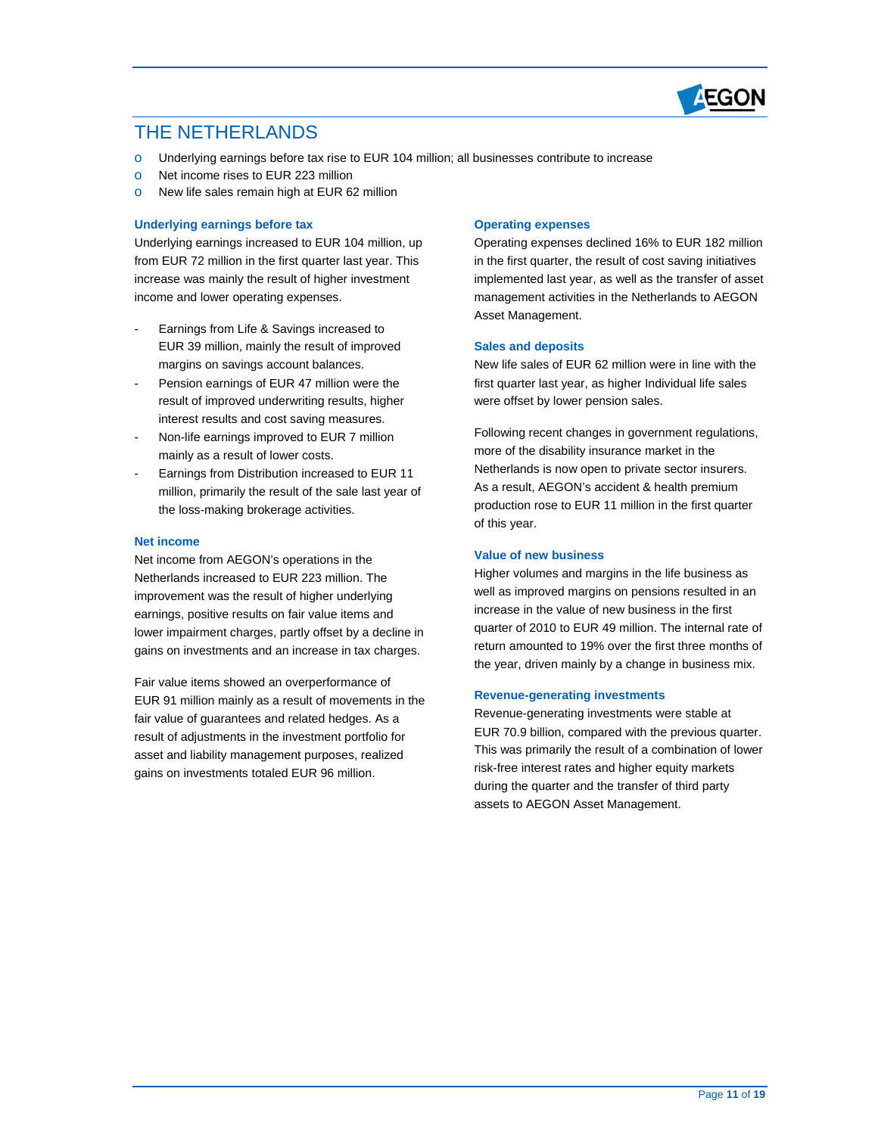

### THE NETHERI ANDS

- o Underlying earnings before tax rise to EUR 104 million; all businesses contribute to increase
- o Net income rises to EUR 223 million
- o New life sales remain high at EUR 62 million

#### **Underlying earnings before tax**

 Underlying earnings increased to EUR 104 million, up from EUR 72 million in the first quarter last year. This increase was mainly the result of higher investment income and lower operating expenses.

- Earnings from Life & Savings increased to EUR 39 million, mainly the result of improved margins on savings account balances.
- - Pension earnings of EUR 47 million were the interest results and cost saving measures. result of improved underwriting results, higher
- Non-life earnings improved to EUR 7 million mainly as a result of lower costs.
- - Earnings from Distribution increased to EUR 11 million, primarily the result of the sale last year of the loss-making brokerage activities.

#### **Net income**

 improvement was the result of higher underlying gains on investments and an increase in tax charges. Net income from AEGON's operations in the Netherlands increased to EUR 223 million. The earnings, positive results on fair value items and lower impairment charges, partly offset by a decline in

Fair value items showed an overperformance of Fair value items showed an overperformance of<br>EUR 91 million mainly as a result of movements in the result of adjustments in the investment portfolio for gains on investments totaled EUR 96 million. fair value of guarantees and related hedges. As a asset and liability management purposes, realized

#### **Operating expenses**

 implemented last year, as well as the transfer of asset management activities in the Netherlands to AEGON Operating expenses declined 16% to EUR 182 million in the first quarter, the result of cost saving initiatives Asset Management.

#### **Sales and deposits**

 New life sales of EUR 62 million were in line with the first quarter last year, as higher Individual life sales were offset by lower pension sales.

 more of the disability insurance market in the production rose to EUR 11 million in the first quarter of this year. Following recent changes in government regulations, Netherlands is now open to private sector insurers. As a result, AEGON's accident & health premium

#### **Value of new business**

 Higher volumes and margins in the life business as well as improved margins on pensions resulted in an increase in the value of new business in the first quarter of 2010 to EUR 49 million. The internal rate of return amounted to 19% over the first three months of the year, driven mainly by a change in business mix.

#### **Revenue-generating investments**

 Revenue-generating investments were stable at This was primarily the result of a combination of lower risk-free interest rates and higher equity markets during the quarter and the transfer of third party EUR 70.9 billion, compared with the previous quarter. assets to AEGON Asset Management.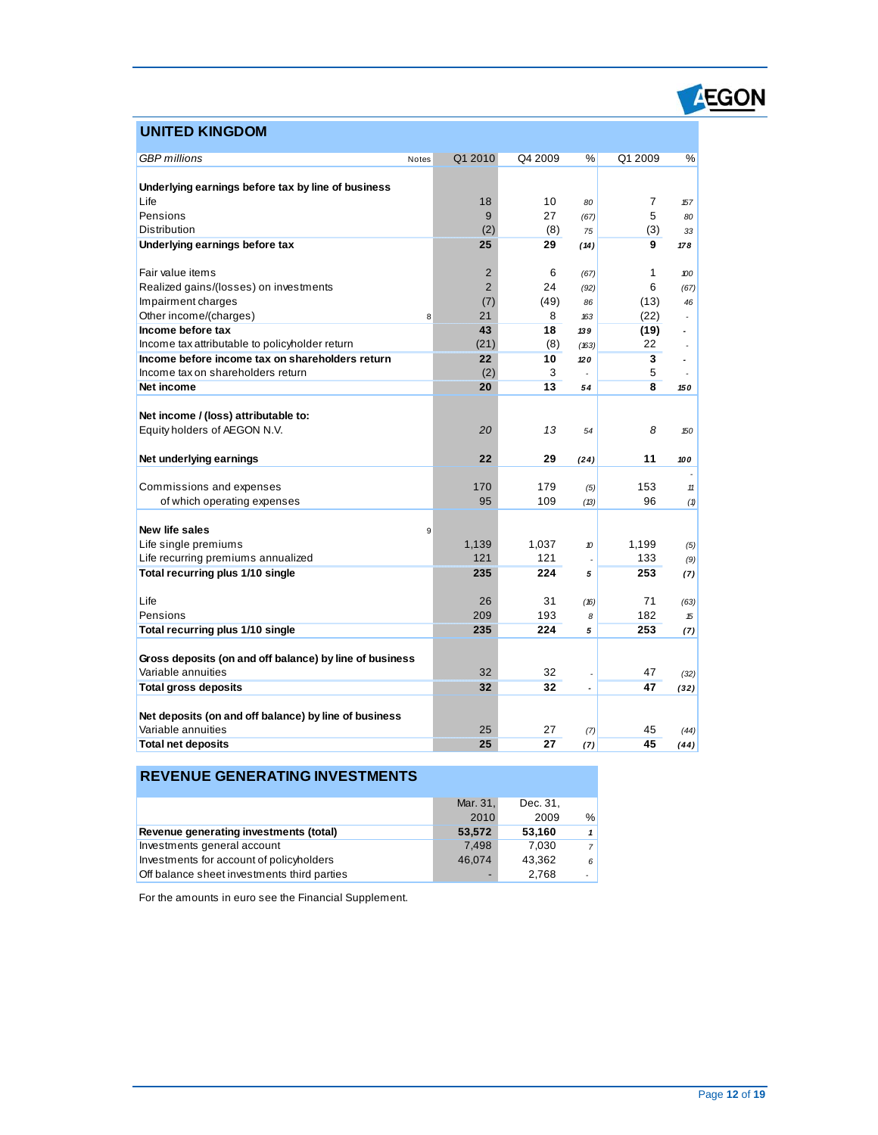# **AEGON**

### **UNITED KINGDOM**

| <b>GBP</b> millions                                     | Notes | Q1 2010        | Q4 2009 | %                        | Q1 2009 | %              |
|---------------------------------------------------------|-------|----------------|---------|--------------------------|---------|----------------|
|                                                         |       |                |         |                          |         |                |
| Underlying earnings before tax by line of business      |       |                |         |                          |         |                |
| Life                                                    |       | 18             | 10      | 80                       | 7       | 157            |
| Pensions                                                |       | 9              | 27      | (67)                     | 5       | 80             |
| Distribution                                            |       | (2)            | (8)     | 75                       | (3)     | 33             |
| Underlying earnings before tax                          |       | 25             | 29      | (14)                     | 9       | 178            |
|                                                         |       |                |         |                          |         |                |
| Fair value items                                        |       | $\overline{2}$ | 6       | (67)                     | 1       | 100            |
| Realized gains/(losses) on investments                  |       | $\overline{2}$ | 24      | (92)                     | 6       | (67)           |
| Impairment charges                                      |       | (7)            | (49)    | 86                       | (13)    | 46             |
| Other income/(charges)                                  | 8     | 21             | 8       | 163                      | (22)    |                |
| Income before tax                                       |       | 43             | 18      | 139                      | (19)    | ÷              |
| Income tax attributable to policyholder return          |       | (21)           | (8)     | (163)                    | 22      |                |
| Income before income tax on shareholders return         |       | 22             | 10      | 120                      | 3       | $\overline{a}$ |
| Income tax on shareholders return                       |       | (2)            | 3       |                          | 5       |                |
| Net income                                              |       | 20             | 13      | 54                       | 8       | 150            |
|                                                         |       |                |         |                          |         |                |
| Net income / (loss) attributable to:                    |       |                |         |                          |         |                |
| Equity holders of AEGON N.V.                            |       | 20             | 13      | 54                       | 8       | 150            |
|                                                         |       |                |         |                          |         |                |
| Net underlying earnings                                 |       | 22             | 29      | (24)                     | 11      | 100            |
| Commissions and expenses                                |       | 170            | 179     |                          | 153     | 11             |
| of which operating expenses                             |       | 95             | 109     | (5)<br>(13)              | 96      | (1)            |
|                                                         |       |                |         |                          |         |                |
| New life sales                                          | 9     |                |         |                          |         |                |
| Life single premiums                                    |       | 1,139          | 1,037   | 10                       | 1,199   | (5)            |
| Life recurring premiums annualized                      |       | 121            | 121     |                          | 133     | (9)            |
| Total recurring plus 1/10 single                        |       | 235            | 224     | 5                        | 253     | (7)            |
|                                                         |       |                |         |                          |         |                |
| Life                                                    |       | 26             | 31      | (16)                     | 71      | (63)           |
| Pensions                                                |       | 209            | 193     | 8                        | 182     | 15             |
| Total recurring plus 1/10 single                        |       | 235            | 224     | 5                        | 253     | (7)            |
|                                                         |       |                |         |                          |         |                |
| Gross deposits (on and off balance) by line of business |       |                |         |                          |         |                |
| Variable annuities                                      |       | 32             | 32      |                          | 47      | (32)           |
| <b>Total gross deposits</b>                             |       | 32             | 32      | $\overline{\phantom{a}}$ | 47      | (32)           |
|                                                         |       |                |         |                          |         |                |
| Net deposits (on and off balance) by line of business   |       |                |         |                          |         |                |
| Variable annuities                                      |       | 25             | 27      | (7)                      | 45      | (44)           |
| <b>Total net deposits</b>                               |       | 25             | 27      | (7)                      | 45      | (44)           |

### **REVENUE GENERATING INVESTMENTS**

|                                             | Mar. 31, | Dec. 31. |                |
|---------------------------------------------|----------|----------|----------------|
|                                             | 2010     | 2009     | %              |
| Revenue generating investments (total)      | 53,572   | 53.160   | $\mathbf{1}$   |
| Investments general account                 | 7.498    | 7.030    | $\overline{7}$ |
| Investments for account of policyholders    | 46.074   | 43.362   | 6              |
| Off balance sheet investments third parties |          | 2.768    |                |

For the amounts in euro see the Financial Supplement.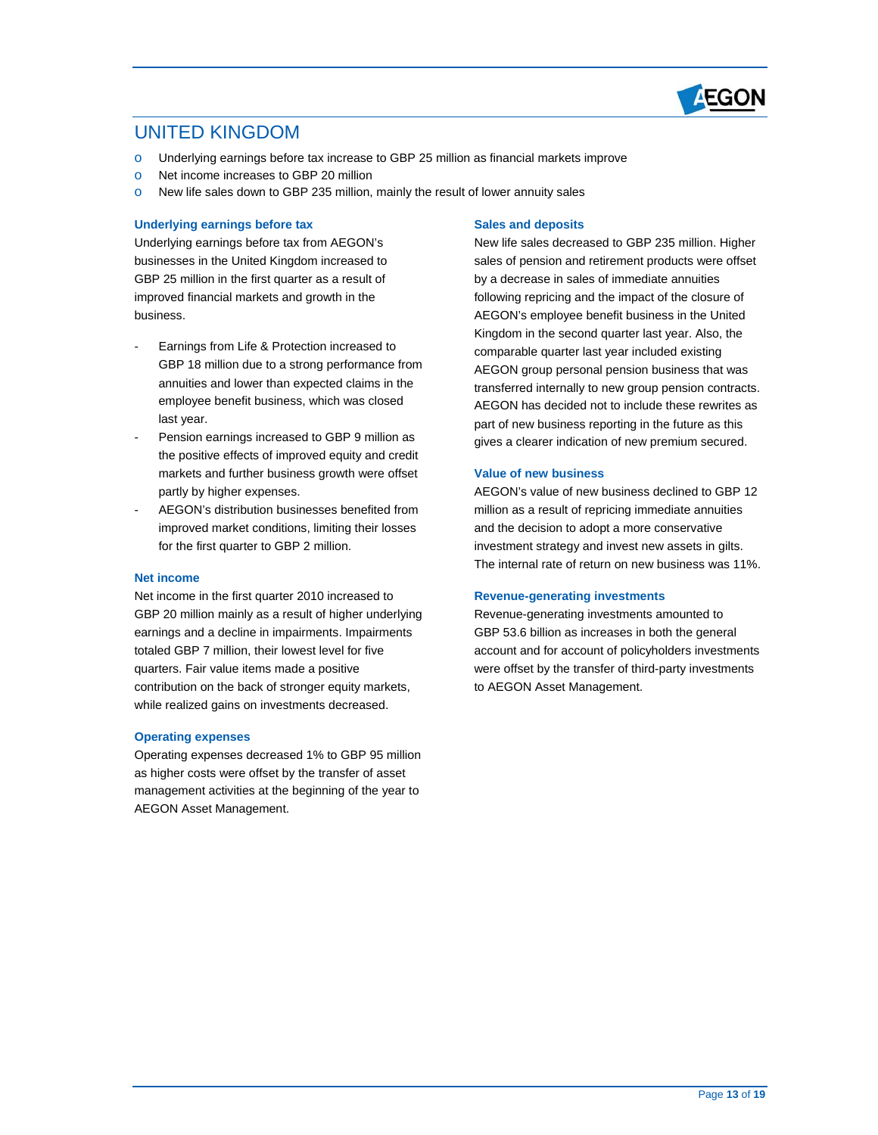

### UNITED KINGDOM

- o Underlying earnings before tax increase to GBP 25 million as financial markets improve
- o Net income increases to GBP 20 million
- o New life sales down to GBP 235 million, mainly the result of lower annuity sales

#### **Underlying earnings before tax**

 businesses in the United Kingdom increased to GBP 25 million in the first quarter as a result of improved financial markets and growth in the Underlying earnings before tax from AEGON's business.

- Earnings from Life & Protection increased to GBP 18 million due to a strong performance from annuities and lower than expected claims in the employee benefit business, which was closed last year.
- - Pension earnings increased to GBP 9 million as the positive effects of improved equity and credit markets and further business growth were offset partly by higher expenses.
- for the first quarter to GBP 2 million. AEGON's distribution businesses benefited from improved market conditions, limiting their losses

#### **Net income**

 Net income in the first quarter 2010 increased to GBP 20 million mainly as a result of higher underlying quarters. Fair value items made a positive contribution on the back of stronger equity markets, while realized gains on investments decreased. earnings and a decline in impairments. Impairments totaled GBP 7 million, their lowest level for five

#### **Operating expenses**

 Operating expenses decreased 1% to GBP 95 million as higher costs were offset by the transfer of asset management activities at the beginning of the year to AEGON Asset Management.

#### **Sales and deposits**

 sales of pension and retirement products were offset by a decrease in sales of immediate annuities following repricing and the impact of the closure of Kingdom in the second quarter last year. Also, the comparable quarter last year included existing AEGON group personal pension business that was transferred internally to new group pension contracts. AEGON has decided not to include these rewrites as gives a clearer indication of new premium secured. New life sales decreased to GBP 235 million. Higher AEGON's employee benefit business in the United part of new business reporting in the future as this

#### **Value of new business**

 AEGON's value of new business declined to GBP 12 million as a result of repricing immediate annuities investment strategy and invest new assets in gilts. The internal rate of return on new business was 11%. and the decision to adopt a more conservative

#### **Revenue-generating investments**

Revenue-generating investments amounted to were offset by the transfer of third-party investments GBP 53.6 billion as increases in both the general account and for account of policyholders investments to AEGON Asset Management.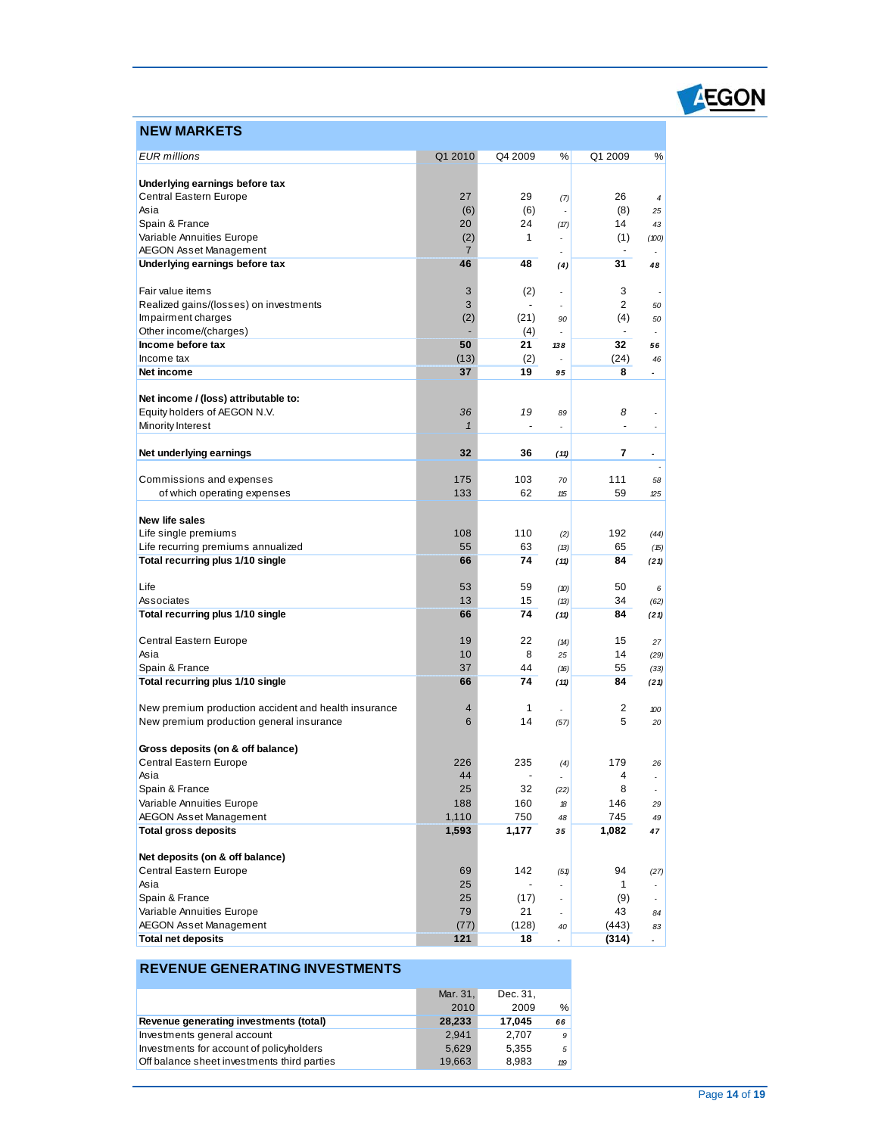# EGON

### **NEW MARKETS**

| <b>EUR</b> millions                                       | Q1 2010        | Q4 2009                  | %    | Q1 2009        | %                            |
|-----------------------------------------------------------|----------------|--------------------------|------|----------------|------------------------------|
|                                                           |                |                          |      |                |                              |
| Underlying earnings before tax                            |                |                          |      |                |                              |
| Central Eastern Europe                                    | 27             | 29                       | (7)  | 26             | 4                            |
| Asia<br>Spain & France                                    | (6)<br>20      | (6)<br>24                |      | (8)<br>14      | 25                           |
| Variable Annuities Europe                                 | (2)            | 1                        | (17) | (1)            | 43<br>(100)                  |
| <b>AEGON Asset Management</b>                             | $\overline{7}$ |                          |      |                |                              |
| Underlying earnings before tax                            | 46             | 48                       | (4)  | 31             | 48                           |
|                                                           |                |                          |      |                |                              |
| Fair value items                                          | 3              | (2)                      | ÷,   | 3              |                              |
| Realized gains/(losses) on investments                    | 3              | $\overline{\phantom{a}}$ |      | 2              | 50                           |
| Impairment charges                                        | (2)            | (21)                     | 90   | (4)            | 50                           |
| Other income/(charges)                                    |                | (4)                      | ÷.   | $\blacksquare$ |                              |
| Income before tax                                         | 50             | 21                       | 138  | 32             | 56                           |
| Income tax<br>Net income                                  | (13)<br>37     | (2)<br>19                |      | (24)<br>8      | 46                           |
|                                                           |                |                          | 95   |                | $\qquad \qquad \blacksquare$ |
| Net income / (loss) attributable to:                      |                |                          |      |                |                              |
| Equity holders of AEGON N.V.                              | 36             | 19                       | 89   | 8              | ÷,                           |
| Minority Interest                                         | $\mathbf{1}$   |                          | Ĭ.   |                | ×,                           |
|                                                           |                |                          |      |                |                              |
| Net underlying earnings                                   | 32             | 36                       | (11) | 7              | $\overline{\phantom{a}}$     |
|                                                           |                |                          |      |                | ÷,                           |
| Commissions and expenses                                  | 175<br>133     | 103<br>62                | 70   | 111<br>59      | 58                           |
| of which operating expenses                               |                |                          | 115  |                | 25                           |
| New life sales                                            |                |                          |      |                |                              |
| Life single premiums                                      | 108            | 110                      | (2)  | 192            | (44)                         |
| Life recurring premiums annualized                        | 55             | 63                       | (13) | 65             | (15)                         |
| Total recurring plus 1/10 single                          | 66             | 74                       | (11) | 84             | (21)                         |
|                                                           |                |                          |      |                |                              |
| Life                                                      | 53             | 59                       | (10) | 50             | 6                            |
| Associates                                                | 13<br>66       | 15<br>74                 | (13) | 34<br>84       | (62)                         |
| Total recurring plus 1/10 single                          |                |                          | (11) |                | (21)                         |
| Central Eastern Europe                                    | 19             | 22                       | (14) | 15             | 27                           |
| Asia                                                      | 10             | 8                        | 25   | 14             | (29)                         |
| Spain & France                                            | 37             | 44                       | (16) | 55             | (33)                         |
| Total recurring plus 1/10 single                          | 66             | 74                       | (11) | 84             | (21)                         |
|                                                           |                |                          |      |                |                              |
| New premium production accident and health insurance      | 4              | 1                        |      | 2              | 100                          |
| New premium production general insurance                  | 6              | 14                       | (57) | 5              | 20                           |
| Gross deposits (on & off balance)                         |                |                          |      |                |                              |
| Central Eastern Europe                                    | 226            | 235                      | (4)  | 179            | 26                           |
| Asia                                                      | 44             |                          | ä,   | 4              | ÷,                           |
| Spain & France                                            | 25             | 32                       | (22) | 8              |                              |
| Variable Annuities Europe                                 | 188            | 160                      | 18   | 146            | 29                           |
| <b>AEGON Asset Management</b>                             | 1,110          | 750                      | 48   | 745            | 49                           |
| <b>Total gross deposits</b>                               | 1,593          | 1,177                    | 35   | 1,082          | 47                           |
|                                                           |                |                          |      |                |                              |
| Net deposits (on & off balance)<br>Central Eastern Europe |                | 142                      |      | 94             |                              |
| Asia                                                      | 69<br>25       |                          | (51) | 1              | (27)                         |
| Spain & France                                            | 25             | (17)                     | ÷.   | (9)            | ÷.                           |
| Variable Annuities Europe                                 | 79             | 21                       |      | 43             | 84                           |
| <b>AEGON Asset Management</b>                             | (77)           | (128)                    | 40   | (443)          | 83                           |
| <b>Total net deposits</b>                                 | 121            | 18                       | ÷.   | (314)          | $\blacksquare$               |

### **REVENUE GENERATING INVESTMENTS**

|                                             | Mar. 31, | Dec. 31, |             |
|---------------------------------------------|----------|----------|-------------|
|                                             | 2010     | 2009     | %           |
| Revenue generating investments (total)      | 28,233   | 17.045   | 66          |
| Investments general account                 | 2.941    | 2.707    | 9           |
| Investments for account of policyholders    | 5.629    | 5.355    | $5^{\circ}$ |
| Off balance sheet investments third parties | 19,663   | 8.983    | 119         |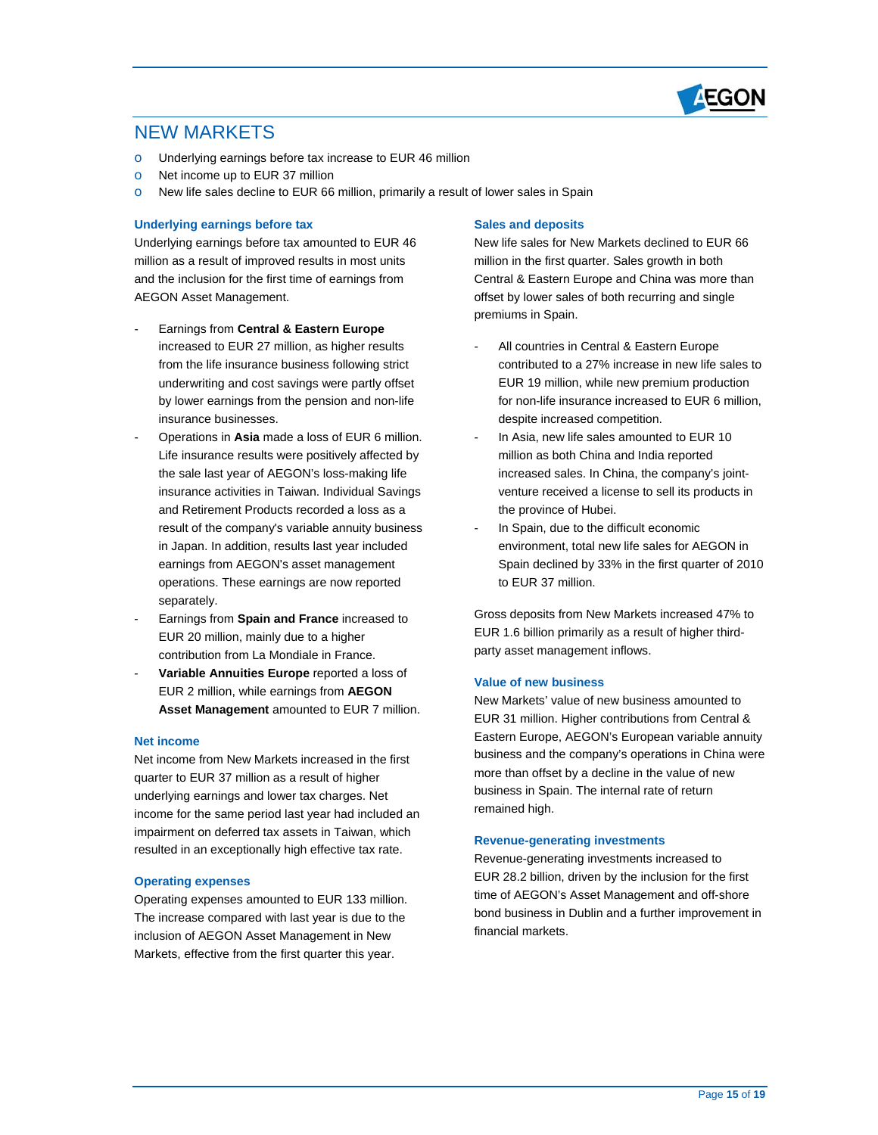

### NEW MARKETS

- o Underlying earnings before tax increase to EUR 46 million
- o Net income up to EUR 37 million
- o New life sales decline to EUR 66 million, primarily a result of lower sales in Spain

#### **Underlying earnings before tax**

Underlying earnings before tax amounted to EUR 46 million as a result of improved results in most units and the inclusion for the first time of earnings from AEGON Asset Management.

- increased to EUR 27 million, as higher results by lower earnings from the pension and non-life insurance businesses. - Earnings from **Central & Eastern Europe**  from the life insurance business following strict underwriting and cost savings were partly offset
- insurance businesses.<br>- Operations in Asia made a loss of EUR 6 million. the sale last year of AEGON's loss-making life and Retirement Products recorded a loss as a in Japan. In addition, results last year included Life insurance results were positively affected by insurance activities in Taiwan. Individual Savings result of the company's variable annuity business earnings from AEGON's asset management operations. These earnings are now reported separately. Underlying earnings before tax mounted to EUR 48<br>
Underlying earnings before tax amounted to EUR 46<br>
million is a result of improved results in most units<br>
and the incit tens of earnings from Contral & Eastern Europe<br>
incr
- EUR 20 million, mainly due to a higher - Earnings from **Spain and France** increased to contribution from La Mondiale in France.
- - **Variable Annuities Europe** reported a loss of EUR 2 million, while earnings from **AEGON Asset Management** amounted to EUR 7 million.

#### **Net income**

 quarter to EUR 37 million as a result of higher impairment on deferred tax assets in Taiwan, which resulted in an exceptionally high effective tax rate. Net income from New Markets increased in the first underlying earnings and lower tax charges. Net income for the same period last year had included an

#### **Operating expenses**

 The increase compared with last year is due to the Markets, effective from the first quarter this year. Operating expenses amounted to EUR 133 million. inclusion of AEGON Asset Management in New

 New life sales for New Markets declined to EUR 66 premiums in Spain. million in the first quarter. Sales growth in both Central & Eastern Europe and China was more than offset by lower sales of both recurring and single

- - All countries in Central & Eastern Europe contributed to a 27% increase in new life sales to EUR 19 million, while new premium production for non-life insurance increased to EUR 6 million, despite increased competition.
- - In Asia, new life sales amounted to EUR 10 million as both China and India reported increased sales. In China, the company's joint- the province of Hubei. venture received a license to sell its products in
- In Spain, due to the difficult economic environment, total new life sales for AEGON in Spain declined by 33% in the first quarter of 2010 to EUR 37 million.

 Gross deposits from New Markets increased 47% to EUR 1.6 billion primarily as a result of higher thirdparty asset management inflows.

#### **Value of new business**

 New Markets' value of new business amounted to business in Spain. The internal rate of return EUR 31 million. Higher contributions from Central & Eastern Europe, AEGON's European variable annuity business and the company's operations in China were more than offset by a decline in the value of new remained high.

#### **Revenue-generating investments**

Revenue-generating investments increased to Revenue-generating investments increased to<br>EUR 28.2 billion, driven by the inclusion for the first bond business in Dublin and a further improvement in time of AEGON's Asset Management and off-shore financial markets.<br>
Page **15** of **19**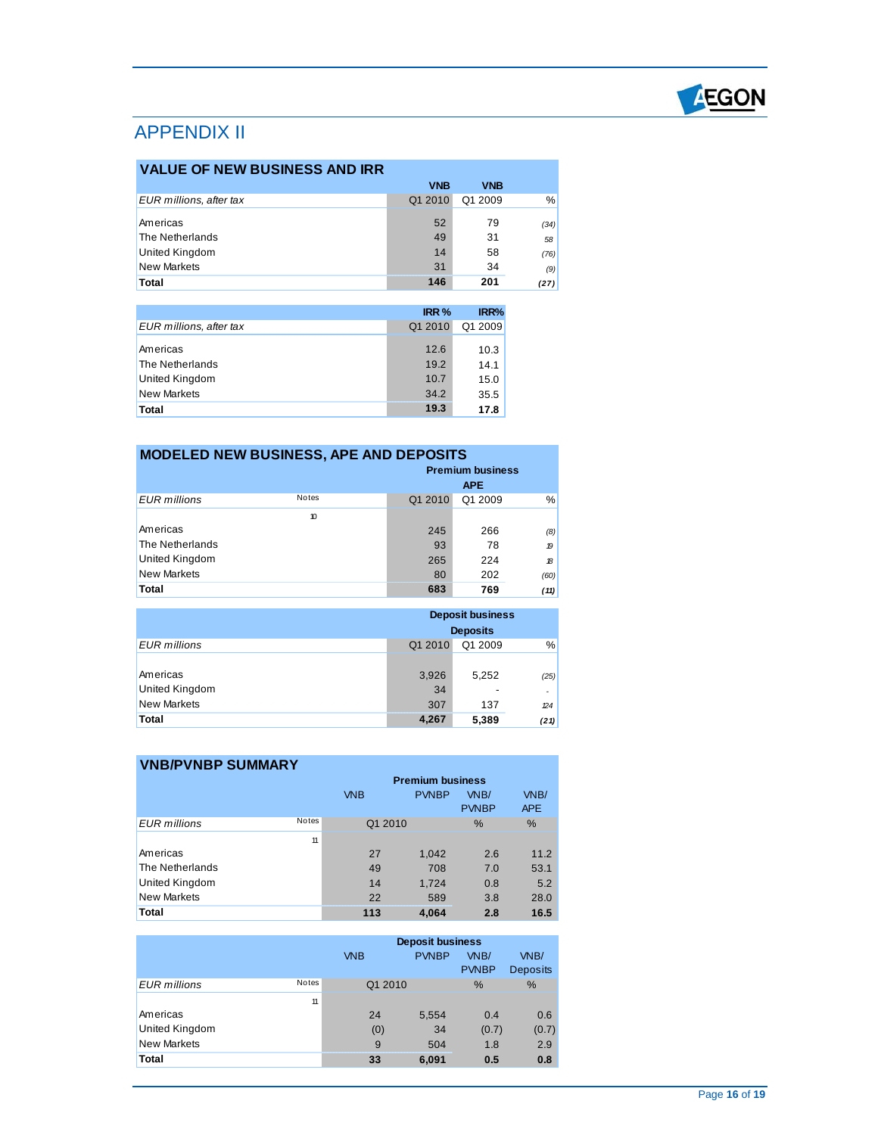

### APPENDIX II

| <b>VALUE OF NEW BUSINESS AND IRR</b> |            |            |      |  |
|--------------------------------------|------------|------------|------|--|
|                                      | <b>VNB</b> | <b>VNB</b> |      |  |
| EUR millions, after tax              | Q1 2010    | Q1 2009    | $\%$ |  |
| Americas                             | 52         | 79         | (34) |  |
| The Netherlands                      | 49         | 31         | 58   |  |
| <b>United Kingdom</b>                | 14         | 58         | (76) |  |
| <b>New Markets</b>                   | 31         | 34         | (9)  |  |
| Total                                | 146        | 201        | (27) |  |

|                                                                            | IRR <sub>%</sub>             | IRR%                         |
|----------------------------------------------------------------------------|------------------------------|------------------------------|
| EUR millions, after tax                                                    | Q1 2010                      | Q1 2009                      |
| Americas<br>The Netherlands<br><b>United Kingdom</b><br><b>New Markets</b> | 12.6<br>19.2<br>10.7<br>34.2 | 10.3<br>14.1<br>15.0<br>35.5 |
| Total                                                                      | 19.3                         | 17.8                         |

| <b>MODELED NEW BUSINESS, APE AND DEPOSITS</b> |                     |         |            |               |  |
|-----------------------------------------------|---------------------|---------|------------|---------------|--|
| <b>Premium business</b>                       |                     |         |            |               |  |
|                                               |                     |         | <b>APE</b> |               |  |
| <b>EUR</b> millions                           | <b>Notes</b>        | Q1 2010 | Q1 2009    | %             |  |
|                                               | $\boldsymbol{\eta}$ |         |            |               |  |
| Americas                                      |                     | 245     | 266        | (8)           |  |
| The Netherlands                               |                     | 93      | 78         | $\mathcal{D}$ |  |
| United Kingdom                                |                     | 265     | 224        | $\mathcal{B}$ |  |
| <b>New Markets</b>                            |                     | 80      | 202        | (60)          |  |
| Total                                         |                     | 683     | 769        | (11)          |  |

|                       | <b>Deposit business</b><br><b>Deposits</b> |         |               |
|-----------------------|--------------------------------------------|---------|---------------|
| <b>EUR</b> millions   | Q1 2010                                    | Q1 2009 | $\frac{9}{6}$ |
|                       |                                            |         |               |
| Americas              | 3,926                                      | 5,252   | (25)          |
| <b>United Kingdom</b> | 34                                         |         |               |
| New Markets           | 307                                        | 137     | 24            |
| <b>Total</b>          | 4,267                                      | 5,389   | (21)          |

| <b>VNB/PVNBP SUMMARY</b> |              |                         |              |                      |                    |
|--------------------------|--------------|-------------------------|--------------|----------------------|--------------------|
|                          |              | <b>Premium business</b> |              |                      |                    |
|                          |              | <b>VNB</b>              | <b>PVNBP</b> | VNB/<br><b>PVNBP</b> | VNB/<br><b>APE</b> |
| <b>EUR</b> millions      | <b>Notes</b> | Q1 2010                 |              | $\%$                 | %                  |
|                          | 11           |                         |              |                      |                    |
| Americas                 |              | 27                      | 1,042        | 2.6                  | 11.2               |
| The Netherlands          |              | 49                      | 708          | 7.0                  | 53.1               |
| <b>United Kingdom</b>    |              | 14                      | 1.724        | 0.8                  | 5.2                |
| <b>New Markets</b>       |              | 22                      | 589          | 3.8                  | 28.0               |
| <b>Total</b>             |              | 113                     | 4,064        | 2.8                  | 16.5               |

|                       |              | <b>Deposit business</b> |              |              |                 |
|-----------------------|--------------|-------------------------|--------------|--------------|-----------------|
|                       |              | <b>VNB</b>              | <b>PVNBP</b> | VNB/         | VNB/            |
|                       |              |                         |              | <b>PVNBP</b> | <b>Deposits</b> |
| EUR millions          | <b>Notes</b> | Q1 2010                 |              | $\%$         | %               |
|                       | 11           |                         |              |              |                 |
| Americas              |              | 24                      | 5,554        | 0.4          | 0.6             |
| <b>United Kingdom</b> |              | (0)                     | 34           | (0.7)        | (0.7)           |
| <b>New Markets</b>    |              | 9                       | 504          | 1.8          | 2.9             |
| <b>Total</b>          |              | 33                      | 6,091        | 0.5          | 0.8             |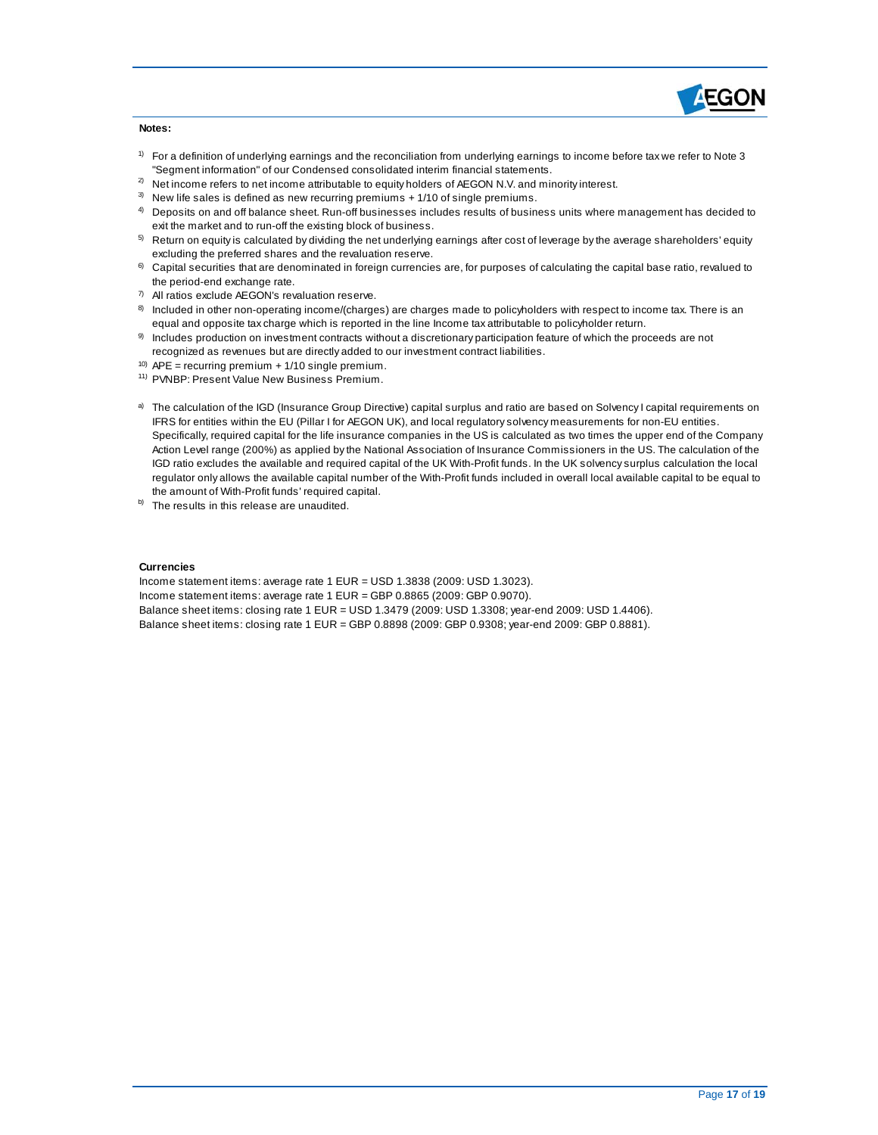

#### **Notes:**

- $1)$  For a definition of underlying earnings and the reconciliation from underlying earnings to income before tax we refer to Note 3 "Segm ent information" of our Condens ed cons olidated interim financial s tatements.
- $^{2)}$  Net income refers to net income attributable to equity holders of AEGON N.V. and minority interest.
- $3)$  New life sales is defined as new recurring premiums + 1/10 of single premiums.
- $4$  Deposits on and off balance sheet. Run-off businesses includes results of business units where management has decided to exit the market and to run-off the existing block of business.
- $5$  Return on equity is calculated by dividing the net underlying earnings after cost of leverage by the average shareholders' equity excluding the preferred shares and the revaluation reserve.
- $6$  Capital securities that are denominated in foreign currencies are, for purposes of calculating the capital base ratio, revalued to the period-end exchange rate.
- 7) All ratios exclude AEGON's revaluation res erve.
- $8$  Included in other non-operating income/(charges) are charges made to policyholders with respect to income tax. There is an equal and opposite tax charge which is reported in the line Income tax attributable to policyholder return.
- $9$  Includes production on investment contracts without a discretionary participation feature of which the proceeds are not recognized as revenues but are directly added to our investment contract liabilities.
- $10)$  APE = recurring premium + 1/10 single premium.
- <sup>11)</sup> PVNBP: Present Value New Business Premium.
- a) The calculation of the IGD (Insurance Group Directive) capital surplus and ratio are based on Solvency I capital requirements on IFRS for entities within the EU (Pillar I for AEGON UK), and local regulatory s olvency measurem ents for non-EU entities. Specifically, required capital for the life insurance companies in the US is calculated as two times the upper end of the Company Action Level range (200%) as applied by the National Association of Insurance Commissioners in the US. The calculation of the regulator only allows the available capital num ber of the With-Profit funds included in overall local available capital to be equal to IGD ratio excludes the available and required capital of the UK With-Profit funds. In the UK s olvency surplus calculation the local the am ount of With-Profit funds' required capital.
- $b)$  The results in this release are unaudited.

#### **Currencies**

Income statem ent items : average rate 1 EUR = USD 1.3838 (2009: USD 1.3023).

Income statement items : average rate 1 EUR = GBP 0.8865 (2009: GBP 0.9070).

Balance s heet items : closing rate 1 EUR = USD 1.3479 (2009: USD 1.3308; year-end 2009: USD 1.4406).

Balance s heet items : closing rate 1 EUR = GBP 0.8898 (2009: GBP 0.9308; year-end 2009: GBP 0.8881).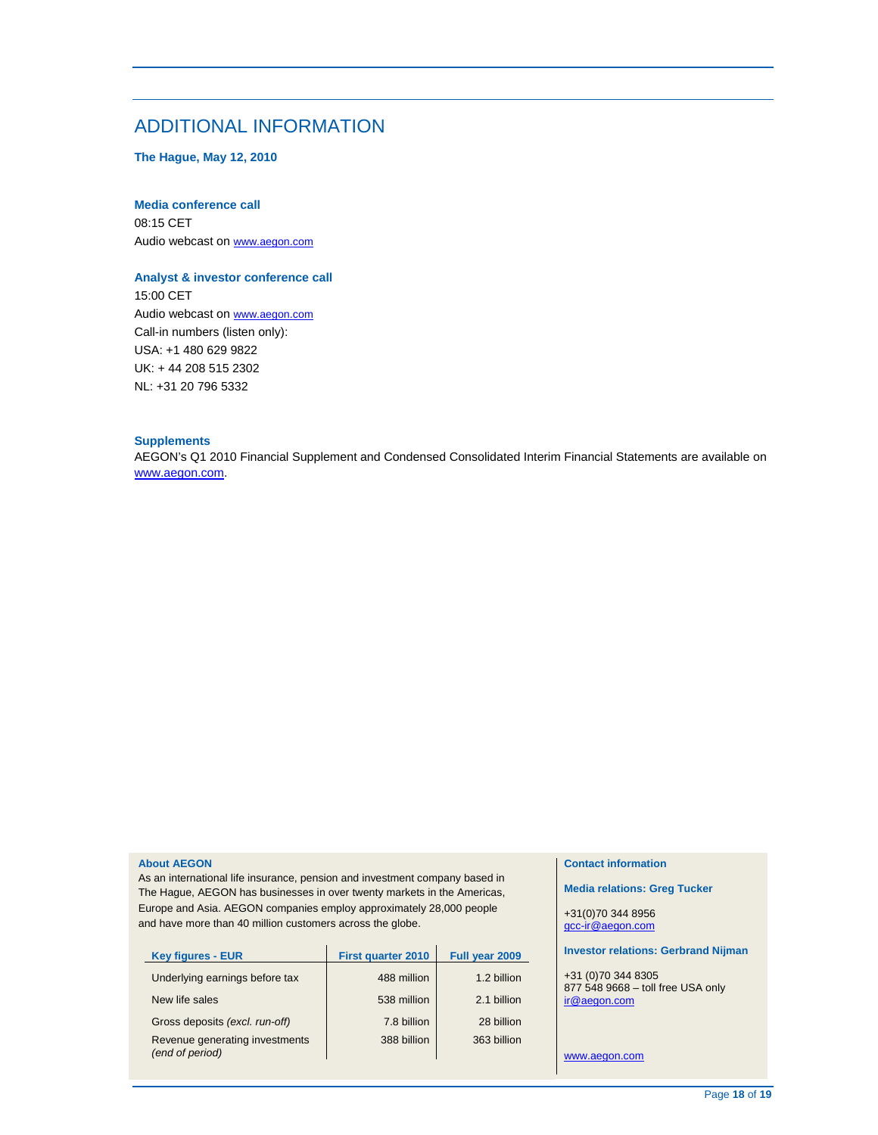### ADDITIONAL INFORMATION

 **The Hague, May 12, 2010** 

#### **Media conference call**

Audio webcast on www.aegon.com 08:15 CET

#### **Analyst & investor conference call**

Audio webcast on www.aegon.com UK: + 44 208 515 2302 NL: +31 20 796 5332 15:00 CET Call-in numbers (listen only): USA: +1 480 629 9822

### **Supplements**

 AEGON's Q1 2010 Financial Supplement and Condensed Consolidated Interim Financial Statements are available on www.aegon.com.

#### **About AEGON**

 As an international life insurance, pension and investment company based in The Hague, AEGON has businesses in over twenty markets in the Americas, Europe and Asia. AEGON companies employ approximately 28,000 people and have more than 40 million customers across the globe.

| <b>Key figures - EUR</b>                          | <b>First quarter 2010</b> | Full year 2009 |
|---------------------------------------------------|---------------------------|----------------|
| Underlying earnings before tax                    | 488 million               | 1.2 billion    |
| New life sales                                    | 538 million               | 2.1 billion    |
| Gross deposits (excl. run-off)                    | 7.8 billion               | 28 billion     |
| Revenue generating investments<br>(end of period) | 388 billion               | 363 billion    |

#### **Contact information**

 **Media relations: Greg Tucker** 

+31(0)70 344 8956 gcc-ir@aegon.com

#### **Investor relations: Gerbrand Nijman**

 877 548 9668 – toll free USA only +31 (0)70 344 8305 ir@aegon.com

www.aegon.com